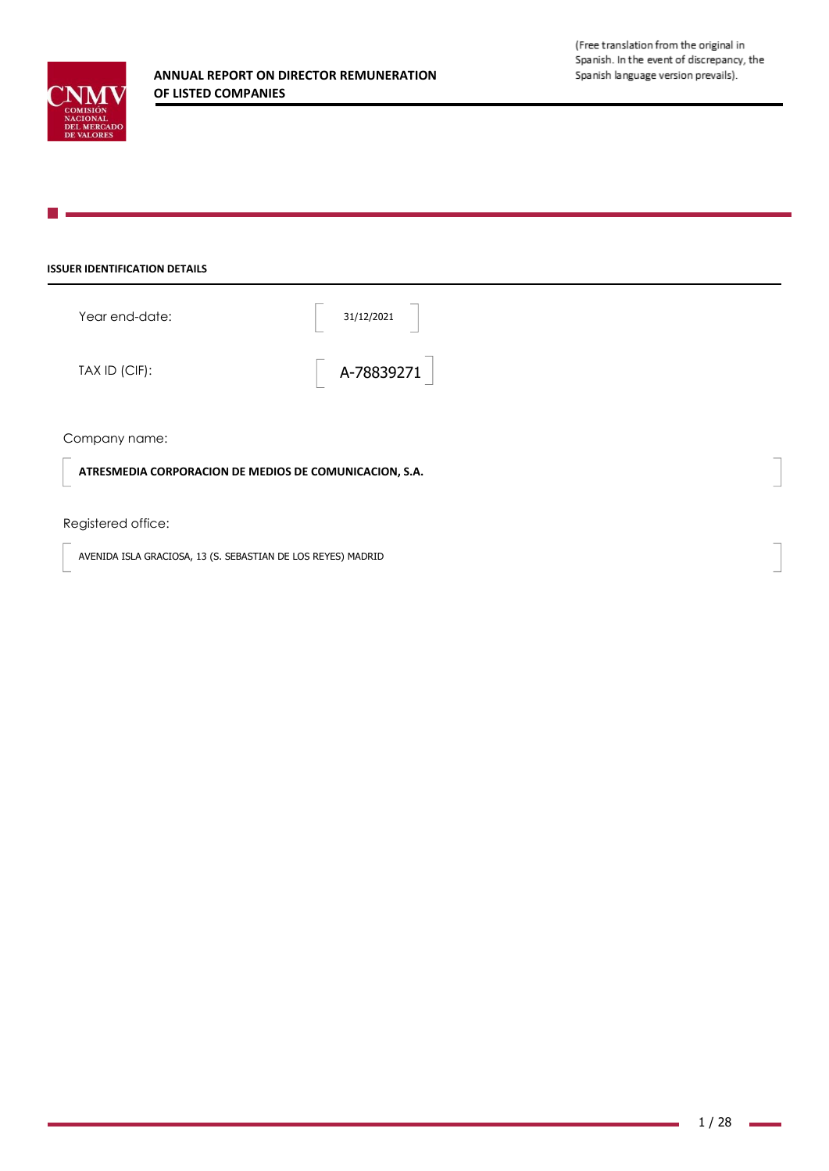### **ISSUER IDENTIFICATION DETAILS**

| Year end-date: | 31/12/2021 |
|----------------|------------|
| TAX ID (CIF):  | A-78839271 |

## Company name:

**ATRESMEDIA CORPORACION DE MEDIOS DE COMUNICACION, S.A.**

## Registered office:

AVENIDA ISLA GRACIOSA, 13 (S. SEBASTIAN DE LOS REYES) MADRID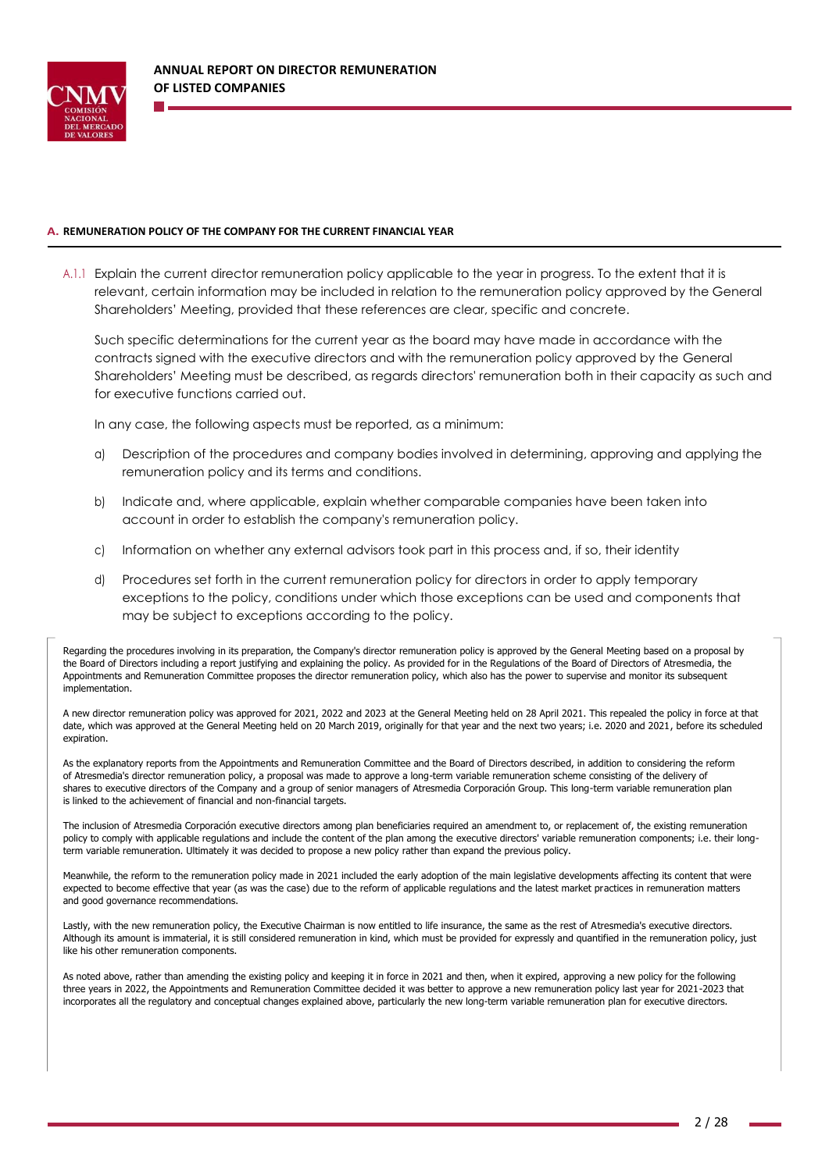

#### **A. REMUNERATION POLICY OF THE COMPANY FOR THE CURRENT FINANCIAL YEAR**

A.1.1 Explain the current director remuneration policy applicable to the year in progress. To the extent that it is relevant, certain information may be included in relation to the remuneration policy approved by the General Shareholders' Meeting, provided that these references are clear, specific and concrete.

Such specific determinations for the current year as the board may have made in accordance with the contracts signed with the executive directors and with the remuneration policy approved by the General Shareholders' Meeting must be described, as regards directors' remuneration both in their capacity as such and for executive functions carried out.

In any case, the following aspects must be reported, as a minimum:

- a) Description of the procedures and company bodies involved in determining, approving and applying the remuneration policy and its terms and conditions.
- b) Indicate and, where applicable, explain whether comparable companies have been taken into account in order to establish the company's remuneration policy.
- c) Information on whether any external advisors took part in this process and, if so, their identity
- d) Procedures set forth in the current remuneration policy for directors in order to apply temporary exceptions to the policy, conditions under which those exceptions can be used and components that may be subject to exceptions according to the policy.

Regarding the procedures involving in its preparation, the Company's director remuneration policy is approved by the General Meeting based on a proposal by the Board of Directors including a report justifying and explaining the policy. As provided for in the Regulations of the Board of Directors of Atresmedia, the Appointments and Remuneration Committee proposes the director remuneration policy, which also has the power to supervise and monitor its subsequent implementation.

A new director remuneration policy was approved for 2021, 2022 and 2023 at the General Meeting held on 28 April 2021. This repealed the policy in force at that date, which was approved at the General Meeting held on 20 March 2019, originally for that year and the next two years; i.e. 2020 and 2021, before its scheduled expiration.

As the explanatory reports from the Appointments and Remuneration Committee and the Board of Directors described, in addition to considering the reform of Atresmedia's director remuneration policy, a proposal was made to approve a long-term variable remuneration scheme consisting of the delivery of shares to executive directors of the Company and a group of senior managers of Atresmedia Corporación Group. This long-term variable remuneration plan is linked to the achievement of financial and non-financial targets.

The inclusion of Atresmedia Corporación executive directors among plan beneficiaries required an amendment to, or replacement of, the existing remuneration policy to comply with applicable regulations and include the content of the plan among the executive directors' variable remuneration components; i.e. their longterm variable remuneration. Ultimately it was decided to propose a new policy rather than expand the previous policy.

Meanwhile, the reform to the remuneration policy made in 2021 included the early adoption of the main legislative developments affecting its content that were expected to become effective that year (as was the case) due to the reform of applicable regulations and the latest market practices in remuneration matters and good governance recommendations.

Lastly, with the new remuneration policy, the Executive Chairman is now entitled to life insurance, the same as the rest of Atresmedia's executive directors. Although its amount is immaterial, it is still considered remuneration in kind, which must be provided for expressly and quantified in the remuneration policy, just like his other remuneration components.

As noted above, rather than amending the existing policy and keeping it in force in 2021 and then, when it expired, approving a new policy for the following three years in 2022, the Appointments and Remuneration Committee decided it was better to approve a new remuneration policy last year for 2021-2023 that incorporates all the regulatory and conceptual changes explained above, particularly the new long-term variable remuneration plan for executive directors.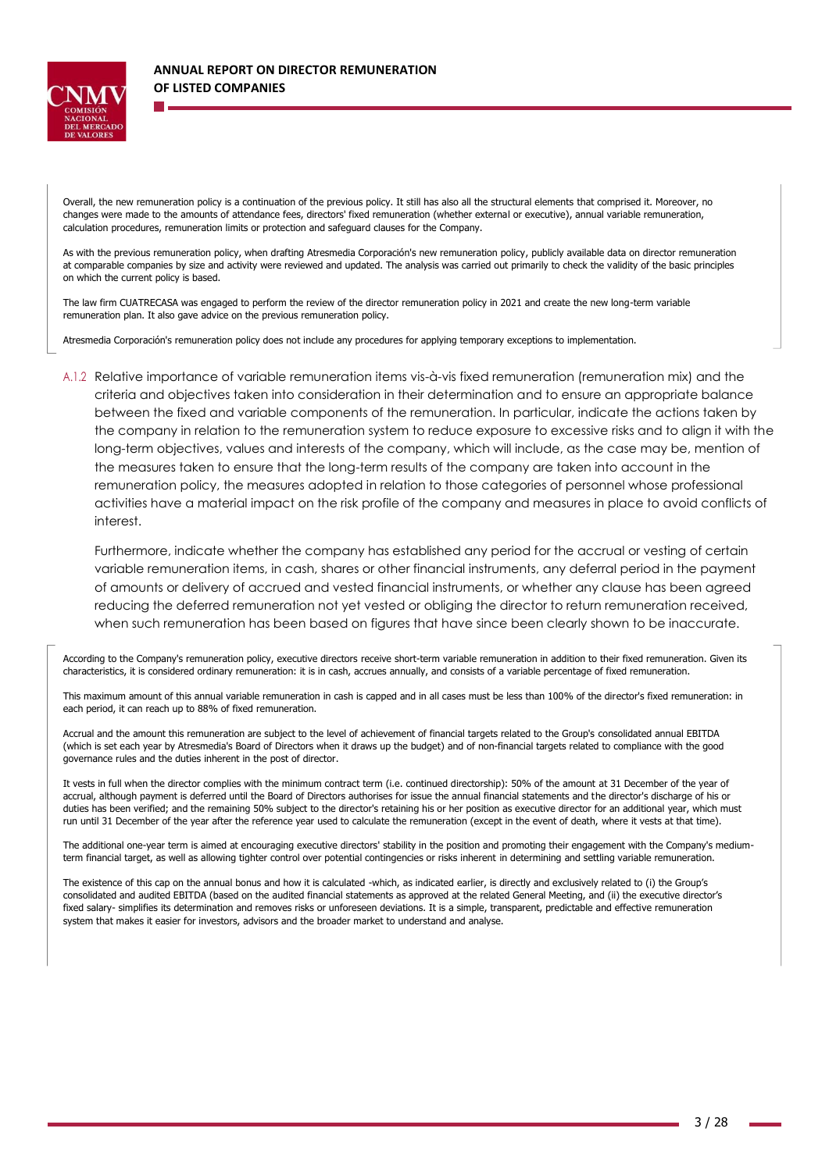

Overall, the new remuneration policy is a continuation of the previous policy. It still has also all the structural elements that comprised it. Moreover, no changes were made to the amounts of attendance fees, directors' fixed remuneration (whether external or executive), annual variable remuneration, calculation procedures, remuneration limits or protection and safeguard clauses for the Company.

As with the previous remuneration policy, when drafting Atresmedia Corporación's new remuneration policy, publicly available data on director remuneration at comparable companies by size and activity were reviewed and updated. The analysis was carried out primarily to check the validity of the basic principles on which the current policy is based.

The law firm CUATRECASA was engaged to perform the review of the director remuneration policy in 2021 and create the new long-term variable remuneration plan. It also gave advice on the previous remuneration policy.

Atresmedia Corporación's remuneration policy does not include any procedures for applying temporary exceptions to implementation.

A.1.2 Relative importance of variable remuneration items vis-à-vis fixed remuneration (remuneration mix) and the criteria and objectives taken into consideration in their determination and to ensure an appropriate balance between the fixed and variable components of the remuneration. In particular, indicate the actions taken by the company in relation to the remuneration system to reduce exposure to excessive risks and to align it with the long-term objectives, values and interests of the company, which will include, as the case may be, mention of the measures taken to ensure that the long-term results of the company are taken into account in the remuneration policy, the measures adopted in relation to those categories of personnel whose professional activities have a material impact on the risk profile of the company and measures in place to avoid conflicts of interest.

Furthermore, indicate whether the company has established any period for the accrual or vesting of certain variable remuneration items, in cash, shares or other financial instruments, any deferral period in the payment of amounts or delivery of accrued and vested financial instruments, or whether any clause has been agreed reducing the deferred remuneration not yet vested or obliging the director to return remuneration received, when such remuneration has been based on figures that have since been clearly shown to be inaccurate.

According to the Company's remuneration policy, executive directors receive short-term variable remuneration in addition to their fixed remuneration. Given its characteristics, it is considered ordinary remuneration: it is in cash, accrues annually, and consists of a variable percentage of fixed remuneration.

This maximum amount of this annual variable remuneration in cash is capped and in all cases must be less than 100% of the director's fixed remuneration: in each period, it can reach up to 88% of fixed remuneration.

Accrual and the amount this remuneration are subject to the level of achievement of financial targets related to the Group's consolidated annual EBITDA (which is set each year by Atresmedia's Board of Directors when it draws up the budget) and of non-financial targets related to compliance with the good governance rules and the duties inherent in the post of director.

It vests in full when the director complies with the minimum contract term (i.e. continued directorship): 50% of the amount at 31 December of the year of accrual, although payment is deferred until the Board of Directors authorises for issue the annual financial statements and the director's discharge of his or duties has been verified; and the remaining 50% subject to the director's retaining his or her position as executive director for an additional year, which must run until 31 December of the year after the reference year used to calculate the remuneration (except in the event of death, where it vests at that time).

The additional one-year term is aimed at encouraging executive directors' stability in the position and promoting their engagement with the Company's mediumterm financial target, as well as allowing tighter control over potential contingencies or risks inherent in determining and settling variable remuneration.

The existence of this cap on the annual bonus and how it is calculated -which, as indicated earlier, is directly and exclusively related to (i) the Group's consolidated and audited EBITDA (based on the audited financial statements as approved at the related General Meeting, and (ii) the executive director's fixed salary- simplifies its determination and removes risks or unforeseen deviations. It is a simple, transparent, predictable and effective remuneration system that makes it easier for investors, advisors and the broader market to understand and analyse.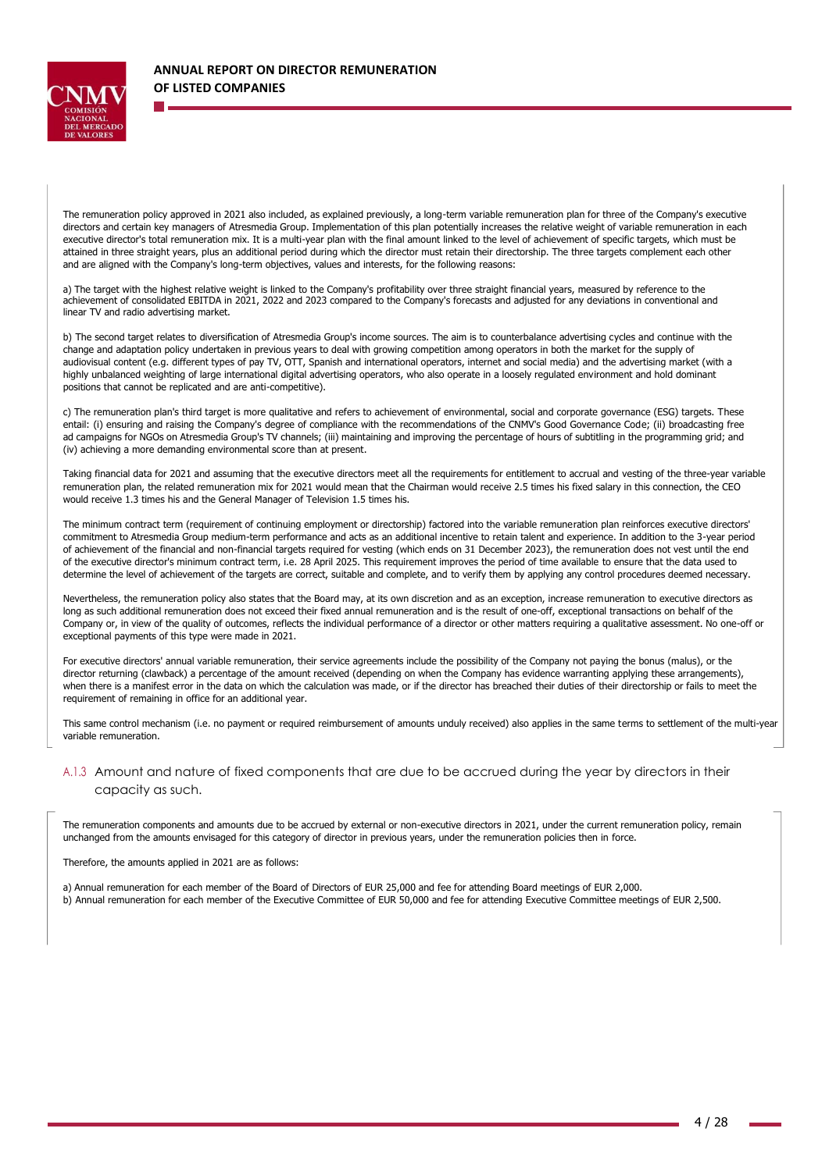

The remuneration policy approved in 2021 also included, as explained previously, a long-term variable remuneration plan for three of the Company's executive directors and certain key managers of Atresmedia Group. Implementation of this plan potentially increases the relative weight of variable remuneration in each executive director's total remuneration mix. It is a multi-year plan with the final amount linked to the level of achievement of specific targets, which must be attained in three straight years, plus an additional period during which the director must retain their directorship. The three targets complement each other and are aligned with the Company's long-term objectives, values and interests, for the following reasons:

a) The target with the highest relative weight is linked to the Company's profitability over three straight financial years, measured by reference to the achievement of consolidated EBITDA in 2021, 2022 and 2023 compared to the Company's forecasts and adjusted for any deviations in conventional and linear TV and radio advertising market.

b) The second target relates to diversification of Atresmedia Group's income sources. The aim is to counterbalance advertising cycles and continue with the change and adaptation policy undertaken in previous years to deal with growing competition among operators in both the market for the supply of audiovisual content (e.g. different types of pay TV, OTT, Spanish and international operators, internet and social media) and the advertising market (with a highly unbalanced weighting of large international digital advertising operators, who also operate in a loosely regulated environment and hold dominant positions that cannot be replicated and are anti-competitive).

c) The remuneration plan's third target is more qualitative and refers to achievement of environmental, social and corporate governance (ESG) targets. These entail: (i) ensuring and raising the Company's degree of compliance with the recommendations of the CNMV's Good Governance Code; (ii) broadcasting free ad campaigns for NGOs on Atresmedia Group's TV channels; (iii) maintaining and improving the percentage of hours of subtitling in the programming grid; and (iv) achieving a more demanding environmental score than at present.

Taking financial data for 2021 and assuming that the executive directors meet all the requirements for entitlement to accrual and vesting of the three-year variable remuneration plan, the related remuneration mix for 2021 would mean that the Chairman would receive 2.5 times his fixed salary in this connection, the CEO would receive 1.3 times his and the General Manager of Television 1.5 times his.

The minimum contract term (requirement of continuing employment or directorship) factored into the variable remuneration plan reinforces executive directors' commitment to Atresmedia Group medium-term performance and acts as an additional incentive to retain talent and experience. In addition to the 3-year period of achievement of the financial and non-financial targets required for vesting (which ends on 31 December 2023), the remuneration does not vest until the end of the executive director's minimum contract term, i.e. 28 April 2025. This requirement improves the period of time available to ensure that the data used to determine the level of achievement of the targets are correct, suitable and complete, and to verify them by applying any control procedures deemed necessary.

Nevertheless, the remuneration policy also states that the Board may, at its own discretion and as an exception, increase remuneration to executive directors as long as such additional remuneration does not exceed their fixed annual remuneration and is the result of one-off, exceptional transactions on behalf of the Company or, in view of the quality of outcomes, reflects the individual performance of a director or other matters requiring a qualitative assessment. No one-off or exceptional payments of this type were made in 2021.

For executive directors' annual variable remuneration, their service agreements include the possibility of the Company not paying the bonus (malus), or the director returning (clawback) a percentage of the amount received (depending on when the Company has evidence warranting applying these arrangements), when there is a manifest error in the data on which the calculation was made, or if the director has breached their duties of their directorship or fails to meet the requirement of remaining in office for an additional year.

This same control mechanism (i.e. no payment or required reimbursement of amounts unduly received) also applies in the same terms to settlement of the multi-year variable remuneration.

### A.1.3 Amount and nature of fixed components that are due to be accrued during the year by directors in their capacity as such.

The remuneration components and amounts due to be accrued by external or non-executive directors in 2021, under the current remuneration policy, remain unchanged from the amounts envisaged for this category of director in previous years, under the remuneration policies then in force.

#### Therefore, the amounts applied in 2021 are as follows:

a) Annual remuneration for each member of the Board of Directors of EUR 25,000 and fee for attending Board meetings of EUR 2,000. b) Annual remuneration for each member of the Executive Committee of EUR 50,000 and fee for attending Executive Committee meetings of EUR 2,500.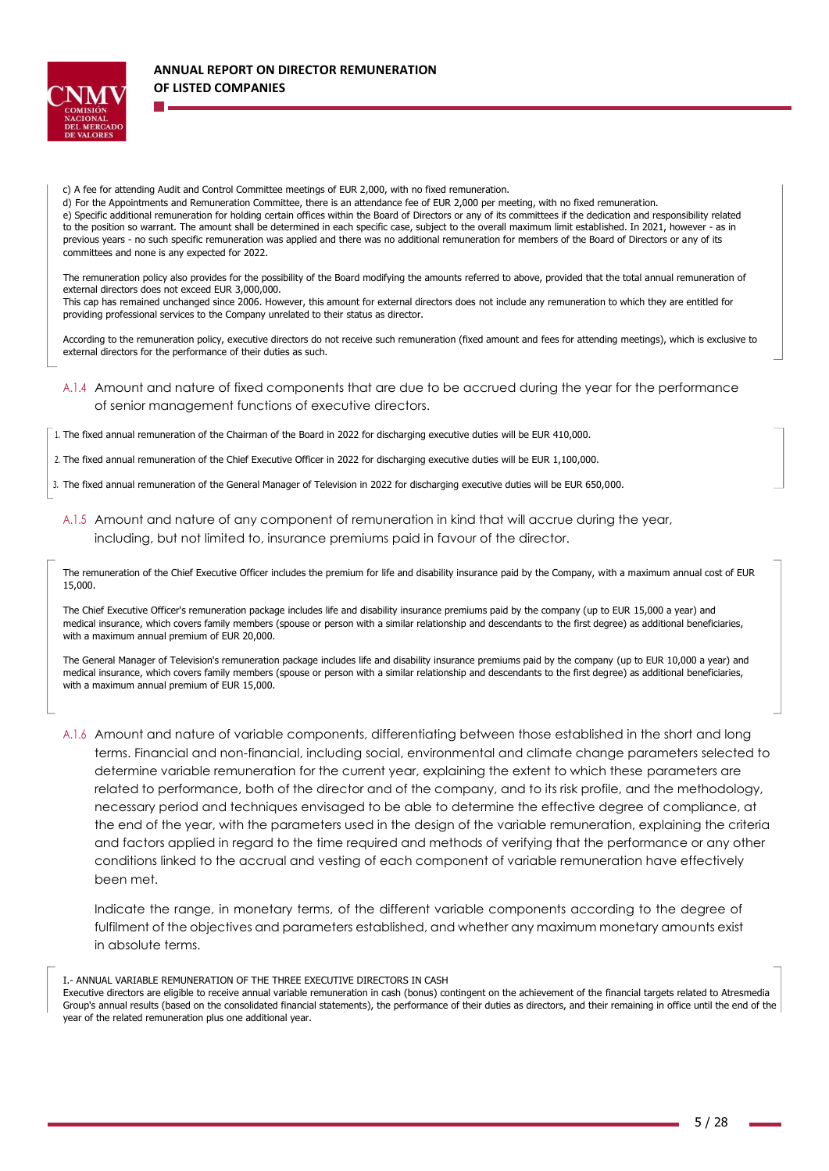

c) A fee for attending Audit and Control Committee meetings of EUR 2,000, with no fixed remuneration.

d) For the Appointments and Remuneration Committee, there is an attendance fee of EUR 2,000 per meeting, with no fixed remuneration. e) Specific additional remuneration for holding certain offices within the Board of Directors or any of its committees if the dedication and responsibility related to the position so warrant. The amount shall be determined in each specific case, subject to the overall maximum limit established. In 2021, however - as in previous years - no such specific remuneration was applied and there was no additional remuneration for members of the Board of Directors or any of its committees and none is any expected for 2022.

The remuneration policy also provides for the possibility of the Board modifying the amounts referred to above, provided that the total annual remuneration of external directors does not exceed EUR 3,000,000.

This cap has remained unchanged since 2006. However, this amount for external directors does not include any remuneration to which they are entitled for providing professional services to the Company unrelated to their status as director.

According to the remuneration policy, executive directors do not receive such remuneration (fixed amount and fees for attending meetings), which is exclusive to external directors for the performance of their duties as such.

- A.1.4 Amount and nature of fixed components that are due to be accrued during the year for the performance of senior management functions of executive directors.
- 1. The fixed annual remuneration of the Chairman of the Board in 2022 for discharging executive duties will be EUR 410,000.
- 2. The fixed annual remuneration of the Chief Executive Officer in 2022 for discharging executive duties will be EUR 1,100,000.
- 3. The fixed annual remuneration of the General Manager of Television in 2022 for discharging executive duties will be EUR 650,000.
	- A.1.5 Amount and nature of any component of remuneration in kind that will accrue during the year, including, but not limited to, insurance premiums paid in favour of the director.

The remuneration of the Chief Executive Officer includes the premium for life and disability insurance paid by the Company, with a maximum annual cost of EUR 15,000.

The Chief Executive Officer's remuneration package includes life and disability insurance premiums paid by the company (up to EUR 15,000 a year) and medical insurance, which covers family members (spouse or person with a similar relationship and descendants to the first degree) as additional beneficiaries, with a maximum annual premium of EUR 20,000.

The General Manager of Television's remuneration package includes life and disability insurance premiums paid by the company (up to EUR 10,000 a year) and medical insurance, which covers family members (spouse or person with a similar relationship and descendants to the first degree) as additional beneficiaries, with a maximum annual premium of EUR 15,000.

A.1.6 Amount and nature of variable components, differentiating between those established in the short and long terms. Financial and non-financial, including social, environmental and climate change parameters selected to determine variable remuneration for the current year, explaining the extent to which these parameters are related to performance, both of the director and of the company, and to its risk profile, and the methodology, necessary period and techniques envisaged to be able to determine the effective degree of compliance, at the end of the year, with the parameters used in the design of the variable remuneration, explaining the criteria and factors applied in regard to the time required and methods of verifying that the performance or any other conditions linked to the accrual and vesting of each component of variable remuneration have effectively been met.

Indicate the range, in monetary terms, of the different variable components according to the degree of fulfilment of the objectives and parameters established, and whether any maximum monetary amounts exist in absolute terms.

I.- ANNUAL VARIABLE REMUNERATION OF THE THREE EXECUTIVE DIRECTORS IN CASH

Executive directors are eligible to receive annual variable remuneration in cash (bonus) contingent on the achievement of the financial targets related to Atresmedia Group's annual results (based on the consolidated financial statements), the performance of their duties as directors, and their remaining in office until the end of the year of the related remuneration plus one additional year.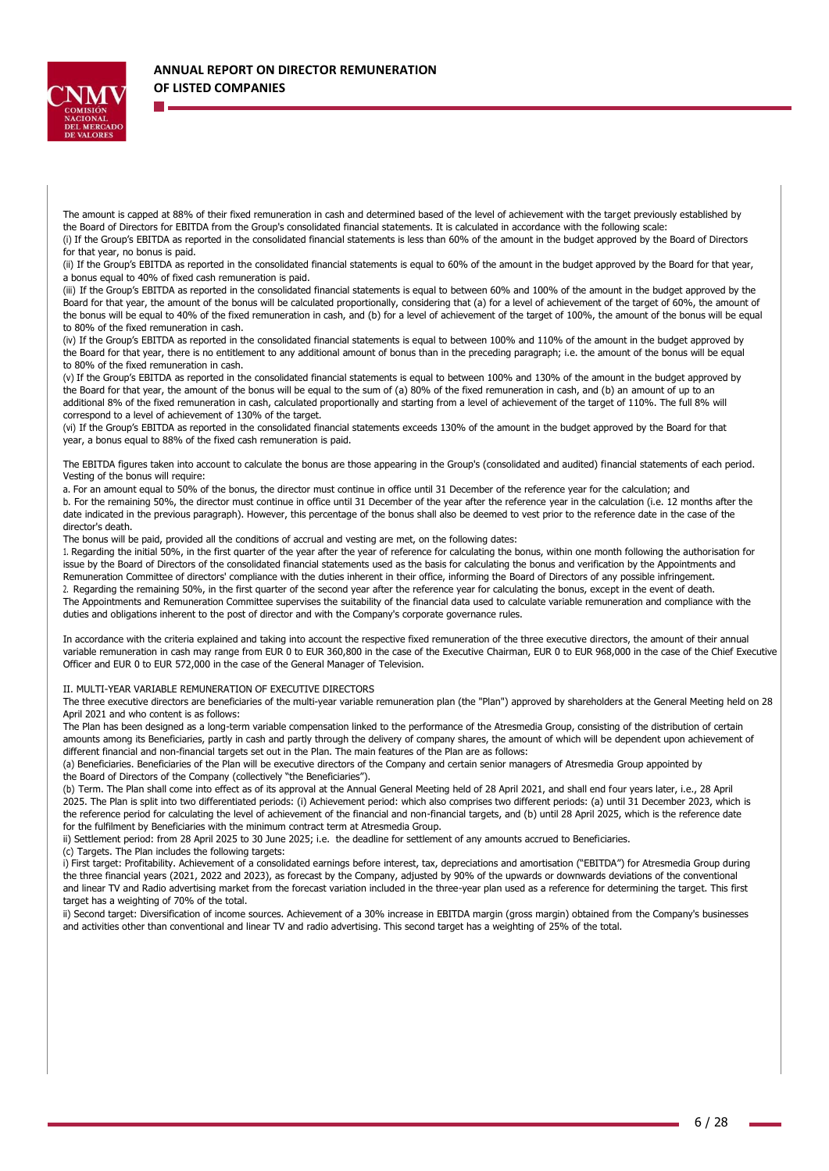

The amount is capped at 88% of their fixed remuneration in cash and determined based of the level of achievement with the target previously established by the Board of Directors for EBITDA from the Group's consolidated financial statements. It is calculated in accordance with the following scale: (i) If the Group's EBITDA as reported in the consolidated financial statements is less than 60% of the amount in the budget approved by the Board of Directors for that year, no bonus is paid.

(ii) If the Group's EBITDA as reported in the consolidated financial statements is equal to 60% of the amount in the budget approved by the Board for that year, a bonus equal to 40% of fixed cash remuneration is paid.

(iii) If the Group's EBITDA as reported in the consolidated financial statements is equal to between 60% and 100% of the amount in the budget approved by the Board for that year, the amount of the bonus will be calculated proportionally, considering that (a) for a level of achievement of the target of 60%, the amount of the bonus will be equal to 40% of the fixed remuneration in cash, and (b) for a level of achievement of the target of 100%, the amount of the bonus will be equal to 80% of the fixed remuneration in cash.

(iv) If the Group's EBITDA as reported in the consolidated financial statements is equal to between 100% and 110% of the amount in the budget approved by the Board for that year, there is no entitlement to any additional amount of bonus than in the preceding paragraph; i.e. the amount of the bonus will be equal to 80% of the fixed remuneration in cash.

(v) If the Group's EBITDA as reported in the consolidated financial statements is equal to between 100% and 130% of the amount in the budget approved by the Board for that year, the amount of the bonus will be equal to the sum of (a) 80% of the fixed remuneration in cash, and (b) an amount of up to an additional 8% of the fixed remuneration in cash, calculated proportionally and starting from a level of achievement of the target of 110%. The full 8% will correspond to a level of achievement of 130% of the target.

(vi) If the Group's EBITDA as reported in the consolidated financial statements exceeds 130% of the amount in the budget approved by the Board for that year, a bonus equal to 88% of the fixed cash remuneration is paid.

The EBITDA figures taken into account to calculate the bonus are those appearing in the Group's (consolidated and audited) financial statements of each period. Vesting of the bonus will require:

a. For an amount equal to 50% of the bonus, the director must continue in office until 31 December of the reference year for the calculation; and b. For the remaining 50%, the director must continue in office until 31 December of the year after the reference year in the calculation (i.e. 12 months after the date indicated in the previous paragraph). However, this percentage of the bonus shall also be deemed to vest prior to the reference date in the case of the director's death.

The bonus will be paid, provided all the conditions of accrual and vesting are met, on the following dates:

1. Regarding the initial 50%, in the first quarter of the year after the year of reference for calculating the bonus, within one month following the authorisation for issue by the Board of Directors of the consolidated financial statements used as the basis for calculating the bonus and verification by the Appointments and Remuneration Committee of directors' compliance with the duties inherent in their office, informing the Board of Directors of any possible infringement. 2. Regarding the remaining 50%, in the first quarter of the second year after the reference year for calculating the bonus, except in the event of death. The Appointments and Remuneration Committee supervises the suitability of the financial data used to calculate variable remuneration and compliance with the duties and obligations inherent to the post of director and with the Company's corporate governance rules.

In accordance with the criteria explained and taking into account the respective fixed remuneration of the three executive directors, the amount of their annual variable remuneration in cash may range from EUR 0 to EUR 360,800 in the case of the Executive Chairman, EUR 0 to EUR 968,000 in the case of the Chief Executive Officer and EUR 0 to EUR 572,000 in the case of the General Manager of Television.

II. MULTI-YEAR VARIABLE REMUNERATION OF EXECUTIVE DIRECTORS

The three executive directors are beneficiaries of the multi-year variable remuneration plan (the "Plan") approved by shareholders at the General Meeting held on 28 April 2021 and who content is as follows:

The Plan has been designed as a long-term variable compensation linked to the performance of the Atresmedia Group, consisting of the distribution of certain amounts among its Beneficiaries, partly in cash and partly through the delivery of company shares, the amount of which will be dependent upon achievement of different financial and non-financial targets set out in the Plan. The main features of the Plan are as follows:

(a) Beneficiaries. Beneficiaries of the Plan will be executive directors of the Company and certain senior managers of Atresmedia Group appointed by the Board of Directors of the Company (collectively "the Beneficiaries").

(b) Term. The Plan shall come into effect as of its approval at the Annual General Meeting held of 28 April 2021, and shall end four years later, i.e., 28 April 2025. The Plan is split into two differentiated periods: (i) Achievement period: which also comprises two different periods: (a) until 31 December 2023, which is the reference period for calculating the level of achievement of the financial and non-financial targets, and (b) until 28 April 2025, which is the reference date for the fulfilment by Beneficiaries with the minimum contract term at Atresmedia Group.

ii) Settlement period: from 28 April 2025 to 30 June 2025; i.e. the deadline for settlement of any amounts accrued to Beneficiaries.

(c) Targets. The Plan includes the following targets:

i) First target: Profitability. Achievement of a consolidated earnings before interest, tax, depreciations and amortisation ("EBITDA") for Atresmedia Group during the three financial years (2021, 2022 and 2023), as forecast by the Company, adjusted by 90% of the upwards or downwards deviations of the conventional and linear TV and Radio advertising market from the forecast variation included in the three-year plan used as a reference for determining the target. This first target has a weighting of 70% of the total.

ii) Second target: Diversification of income sources. Achievement of a 30% increase in EBITDA margin (gross margin) obtained from the Company's businesses and activities other than conventional and linear TV and radio advertising. This second target has a weighting of 25% of the total.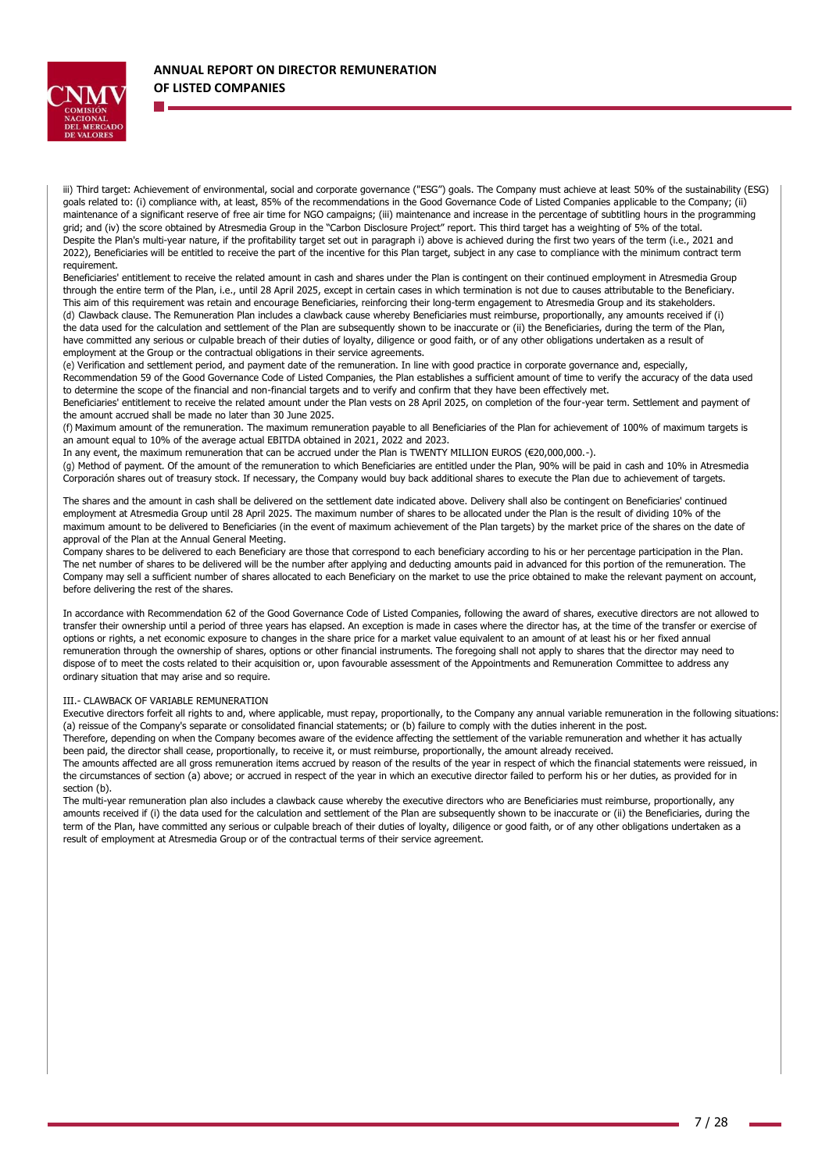

iii) Third target: Achievement of environmental, social and corporate governance ("ESG") goals. The Company must achieve at least 50% of the sustainability (ESG) goals related to: (i) compliance with, at least, 85% of the recommendations in the Good Governance Code of Listed Companies applicable to the Company; (ii) maintenance of a significant reserve of free air time for NGO campaigns; (iii) maintenance and increase in the percentage of subtitling hours in the programming grid; and (iv) the score obtained by Atresmedia Group in the "Carbon Disclosure Project" report. This third target has a weighting of 5% of the total. Despite the Plan's multi-year nature, if the profitability target set out in paragraph i) above is achieved during the first two years of the term (i.e., 2021 and 2022), Beneficiaries will be entitled to receive the part of the incentive for this Plan target, subject in any case to compliance with the minimum contract term requirement.

Beneficiaries' entitlement to receive the related amount in cash and shares under the Plan is contingent on their continued employment in Atresmedia Group through the entire term of the Plan, i.e., until 28 April 2025, except in certain cases in which termination is not due to causes attributable to the Beneficiary. This aim of this requirement was retain and encourage Beneficiaries, reinforcing their long-term engagement to Atresmedia Group and its stakeholders. (d) Clawback clause. The Remuneration Plan includes a clawback cause whereby Beneficiaries must reimburse, proportionally, any amounts received if (i) the data used for the calculation and settlement of the Plan are subsequently shown to be inaccurate or (ii) the Beneficiaries, during the term of the Plan, have committed any serious or culpable breach of their duties of loyalty, diligence or good faith, or of any other obligations undertaken as a result of employment at the Group or the contractual obligations in their service agreements.

(e) Verification and settlement period, and payment date of the remuneration. In line with good practice in corporate governance and, especially, Recommendation 59 of the Good Governance Code of Listed Companies, the Plan establishes a sufficient amount of time to verify the accuracy of the data used to determine the scope of the financial and non-financial targets and to verify and confirm that they have been effectively met.

Beneficiaries' entitlement to receive the related amount under the Plan vests on 28 April 2025, on completion of the four-year term. Settlement and payment of the amount accrued shall be made no later than 30 June 2025.

(f) Maximum amount of the remuneration. The maximum remuneration payable to all Beneficiaries of the Plan for achievement of 100% of maximum targets is an amount equal to 10% of the average actual EBITDA obtained in 2021, 2022 and 2023.

In any event, the maximum remuneration that can be accrued under the Plan is TWENTY MILLION EUROS (€20,000,000.-).

(g) Method of payment. Of the amount of the remuneration to which Beneficiaries are entitled under the Plan, 90% will be paid in cash and 10% in Atresmedia Corporación shares out of treasury stock. If necessary, the Company would buy back additional shares to execute the Plan due to achievement of targets.

The shares and the amount in cash shall be delivered on the settlement date indicated above. Delivery shall also be contingent on Beneficiaries' continued employment at Atresmedia Group until 28 April 2025. The maximum number of shares to be allocated under the Plan is the result of dividing 10% of the maximum amount to be delivered to Beneficiaries (in the event of maximum achievement of the Plan targets) by the market price of the shares on the date of approval of the Plan at the Annual General Meeting.

Company shares to be delivered to each Beneficiary are those that correspond to each beneficiary according to his or her percentage participation in the Plan. The net number of shares to be delivered will be the number after applying and deducting amounts paid in advanced for this portion of the remuneration. The Company may sell a sufficient number of shares allocated to each Beneficiary on the market to use the price obtained to make the relevant payment on account, before delivering the rest of the shares.

In accordance with Recommendation 62 of the Good Governance Code of Listed Companies, following the award of shares, executive directors are not allowed to transfer their ownership until a period of three years has elapsed. An exception is made in cases where the director has, at the time of the transfer or exercise of options or rights, a net economic exposure to changes in the share price for a market value equivalent to an amount of at least his or her fixed annual remuneration through the ownership of shares, options or other financial instruments. The foregoing shall not apply to shares that the director may need to dispose of to meet the costs related to their acquisition or, upon favourable assessment of the Appointments and Remuneration Committee to address any ordinary situation that may arise and so require.

#### III.- CLAWBACK OF VARIABLE REMUNERATION

Executive directors forfeit all rights to and, where applicable, must repay, proportionally, to the Company any annual variable remuneration in the following situations: (a) reissue of the Company's separate or consolidated financial statements; or (b) failure to comply with the duties inherent in the post.

Therefore, depending on when the Company becomes aware of the evidence affecting the settlement of the variable remuneration and whether it has actually been paid, the director shall cease, proportionally, to receive it, or must reimburse, proportionally, the amount already received.

The amounts affected are all gross remuneration items accrued by reason of the results of the year in respect of which the financial statements were reissued, in the circumstances of section (a) above; or accrued in respect of the year in which an executive director failed to perform his or her duties, as provided for in section (b).

The multi-year remuneration plan also includes a clawback cause whereby the executive directors who are Beneficiaries must reimburse, proportionally, any amounts received if (i) the data used for the calculation and settlement of the Plan are subsequently shown to be inaccurate or (ii) the Beneficiaries, during the term of the Plan, have committed any serious or culpable breach of their duties of loyalty, diligence or good faith, or of any other obligations undertaken as a result of employment at Atresmedia Group or of the contractual terms of their service agreement.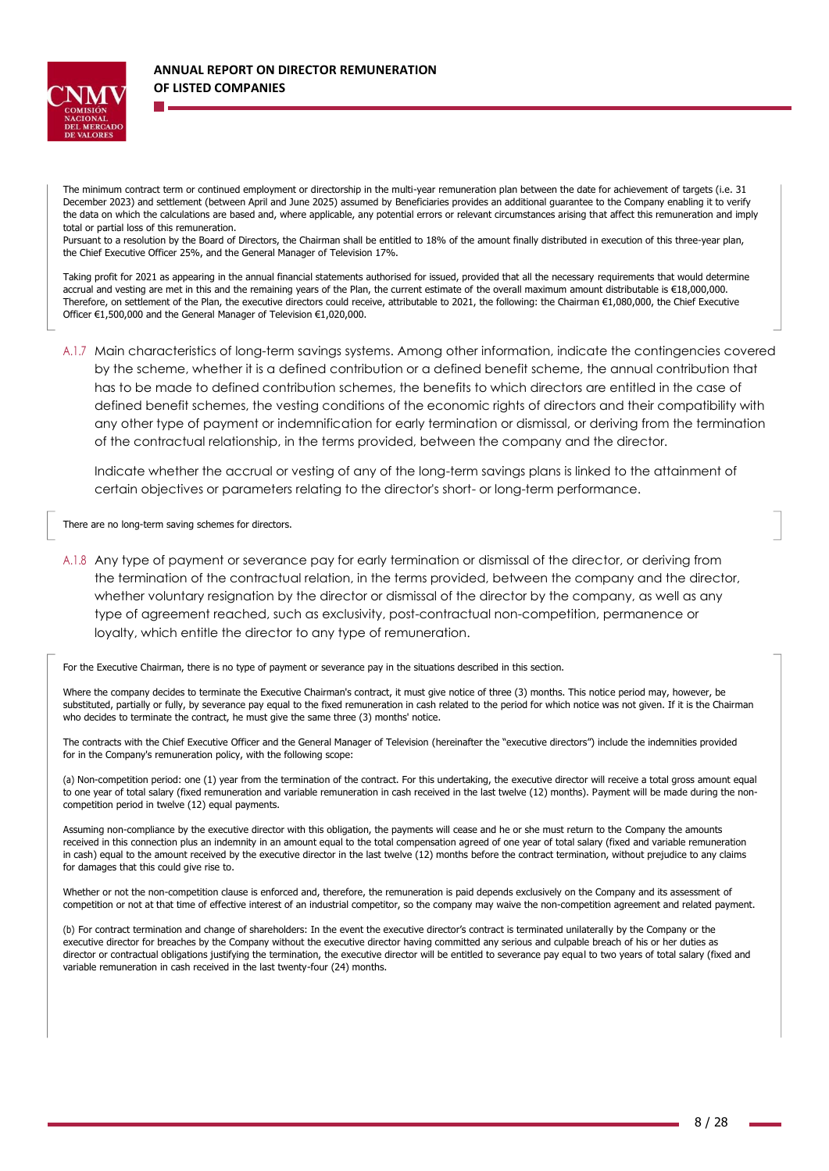

The minimum contract term or continued employment or directorship in the multi-year remuneration plan between the date for achievement of targets (i.e. 31 December 2023) and settlement (between April and June 2025) assumed by Beneficiaries provides an additional guarantee to the Company enabling it to verify the data on which the calculations are based and, where applicable, any potential errors or relevant circumstances arising that affect this remuneration and imply total or partial loss of this remuneration.

Pursuant to a resolution by the Board of Directors, the Chairman shall be entitled to 18% of the amount finally distributed in execution of this three-year plan, the Chief Executive Officer 25%, and the General Manager of Television 17%.

Taking profit for 2021 as appearing in the annual financial statements authorised for issued, provided that all the necessary requirements that would determine accrual and vesting are met in this and the remaining years of the Plan, the current estimate of the overall maximum amount distributable is €18,000,000. Therefore, on settlement of the Plan, the executive directors could receive, attributable to 2021, the following: the Chairman €1,080,000, the Chief Executive Officer €1,500,000 and the General Manager of Television €1,020,000.

A.1.7 Main characteristics of long-term savings systems. Among other information, indicate the contingencies covered by the scheme, whether it is a defined contribution or a defined benefit scheme, the annual contribution that has to be made to defined contribution schemes, the benefits to which directors are entitled in the case of defined benefit schemes, the vesting conditions of the economic rights of directors and their compatibility with any other type of payment or indemnification for early termination or dismissal, or deriving from the termination of the contractual relationship, in the terms provided, between the company and the director.

Indicate whether the accrual or vesting of any of the long-term savings plans is linked to the attainment of certain objectives or parameters relating to the director's short- or long-term performance.

There are no long-term saving schemes for directors.

A.1.8 Any type of payment or severance pay for early termination or dismissal of the director, or deriving from the termination of the contractual relation, in the terms provided, between the company and the director, whether voluntary resignation by the director or dismissal of the director by the company, as well as any type of agreement reached, such as exclusivity, post-contractual non-competition, permanence or loyalty, which entitle the director to any type of remuneration.

For the Executive Chairman, there is no type of payment or severance pay in the situations described in this section.

Where the company decides to terminate the Executive Chairman's contract, it must give notice of three (3) months. This notice period may, however, be substituted, partially or fully, by severance pay equal to the fixed remuneration in cash related to the period for which notice was not given. If it is the Chairman who decides to terminate the contract, he must give the same three (3) months' notice.

The contracts with the Chief Executive Officer and the General Manager of Television (hereinafter the "executive directors") include the indemnities provided for in the Company's remuneration policy, with the following scope:

(a) Non-competition period: one (1) year from the termination of the contract. For this undertaking, the executive director will receive a total gross amount equal to one year of total salary (fixed remuneration and variable remuneration in cash received in the last twelve (12) months). Payment will be made during the noncompetition period in twelve (12) equal payments.

Assuming non-compliance by the executive director with this obligation, the payments will cease and he or she must return to the Company the amounts received in this connection plus an indemnity in an amount equal to the total compensation agreed of one year of total salary (fixed and variable remuneration in cash) equal to the amount received by the executive director in the last twelve (12) months before the contract termination, without prejudice to any claims for damages that this could give rise to.

Whether or not the non-competition clause is enforced and, therefore, the remuneration is paid depends exclusively on the Company and its assessment of competition or not at that time of effective interest of an industrial competitor, so the company may waive the non-competition agreement and related payment.

(b) For contract termination and change of shareholders: In the event the executive director's contract is terminated unilaterally by the Company or the executive director for breaches by the Company without the executive director having committed any serious and culpable breach of his or her duties as director or contractual obligations justifying the termination, the executive director will be entitled to severance pay equal to two years of total salary (fixed and variable remuneration in cash received in the last twenty-four (24) months.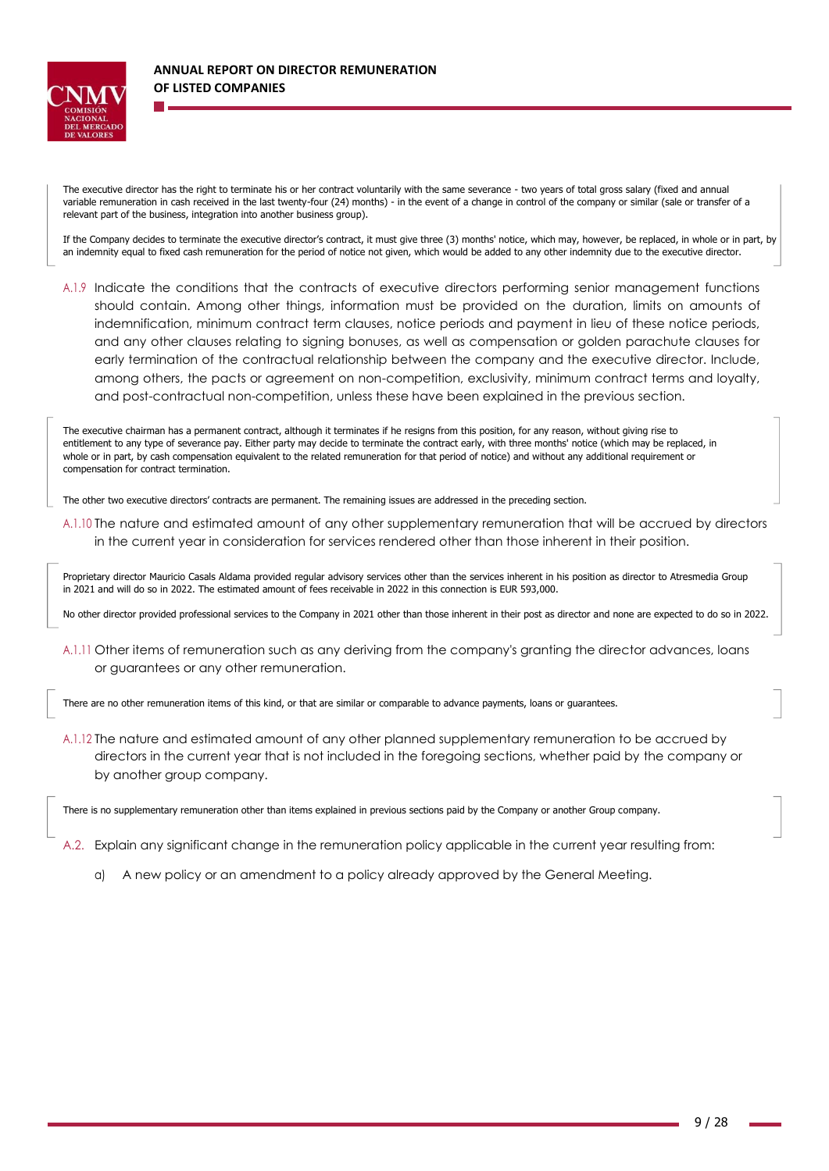

The executive director has the right to terminate his or her contract voluntarily with the same severance - two years of total gross salary (fixed and annual variable remuneration in cash received in the last twenty-four (24) months) - in the event of a change in control of the company or similar (sale or transfer of a relevant part of the business, integration into another business group).

If the Company decides to terminate the executive director's contract, it must give three (3) months' notice, which may, however, be replaced, in whole or in part, by an indemnity equal to fixed cash remuneration for the period of notice not given, which would be added to any other indemnity due to the executive director.

A.1.9 Indicate the conditions that the contracts of executive directors performing senior management functions should contain. Among other things, information must be provided on the duration, limits on amounts of indemnification, minimum contract term clauses, notice periods and payment in lieu of these notice periods, and any other clauses relating to signing bonuses, as well as compensation or golden parachute clauses for early termination of the contractual relationship between the company and the executive director. Include, among others, the pacts or agreement on non-competition, exclusivity, minimum contract terms and loyalty, and post-contractual non-competition, unless these have been explained in the previous section.

The executive chairman has a permanent contract, although it terminates if he resigns from this position, for any reason, without giving rise to entitlement to any type of severance pay. Either party may decide to terminate the contract early, with three months' notice (which may be replaced, in whole or in part, by cash compensation equivalent to the related remuneration for that period of notice) and without any additional requirement or compensation for contract termination.

The other two executive directors' contracts are permanent. The remaining issues are addressed in the preceding section.

A.1.10 The nature and estimated amount of any other supplementary remuneration that will be accrued by directors in the current year in consideration for services rendered other than those inherent in their position.

Proprietary director Mauricio Casals Aldama provided regular advisory services other than the services inherent in his position as director to Atresmedia Group in 2021 and will do so in 2022. The estimated amount of fees receivable in 2022 in this connection is EUR 593,000.

No other director provided professional services to the Company in 2021 other than those inherent in their post as director and none are expected to do so in 2022.

A.1.11 Other items of remuneration such as any deriving from the company's granting the director advances, loans or guarantees or any other remuneration.

There are no other remuneration items of this kind, or that are similar or comparable to advance payments, loans or guarantees.

A.1.12 The nature and estimated amount of any other planned supplementary remuneration to be accrued by directors in the current year that is not included in the foregoing sections, whether paid by the company or by another group company.

There is no supplementary remuneration other than items explained in previous sections paid by the Company or another Group company.

A.2. Explain any significant change in the remuneration policy applicable in the current year resulting from:

a) A new policy or an amendment to a policy already approved by the General Meeting.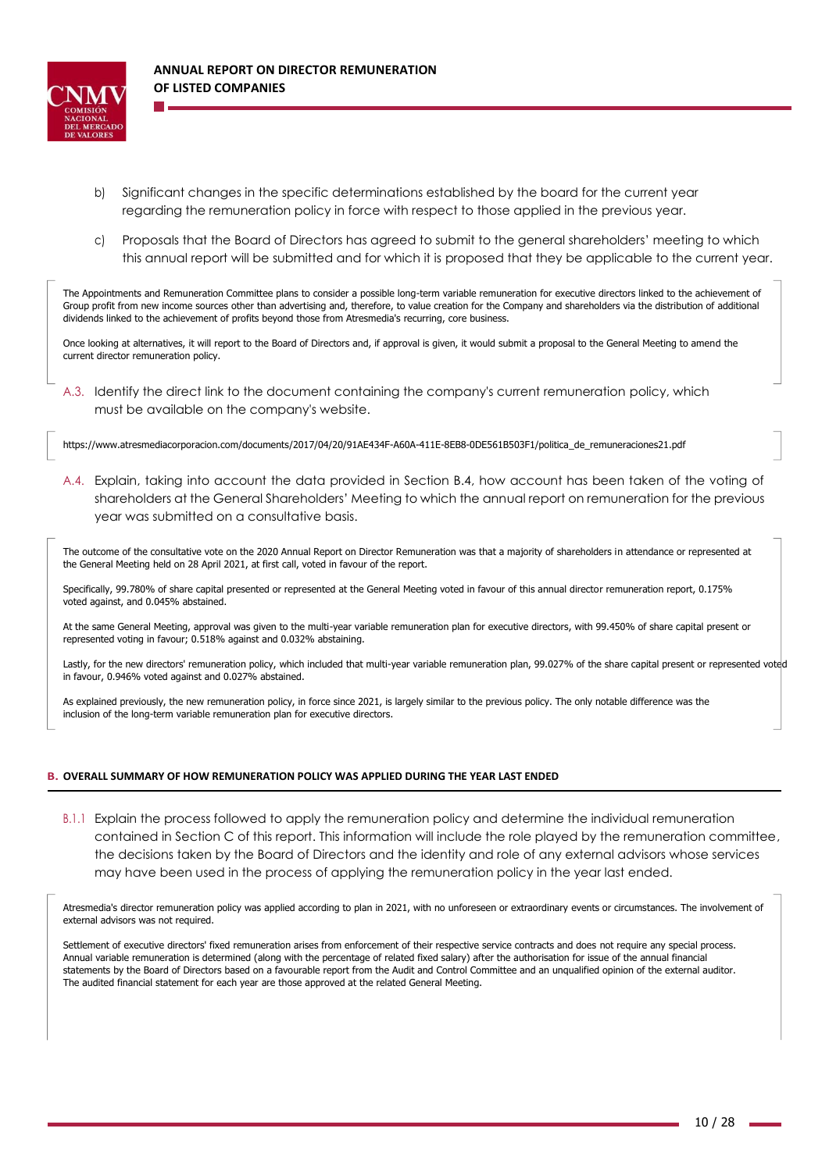

- b) Significant changes in the specific determinations established by the board for the current year regarding the remuneration policy in force with respect to those applied in the previous year.
- c) Proposals that the Board of Directors has agreed to submit to the general shareholders' meeting to which this annual report will be submitted and for which it is proposed that they be applicable to the current year.

The Appointments and Remuneration Committee plans to consider a possible long-term variable remuneration for executive directors linked to the achievement of Group profit from new income sources other than advertising and, therefore, to value creation for the Company and shareholders via the distribution of additional dividends linked to the achievement of profits beyond those from Atresmedia's recurring, core business.

Once looking at alternatives, it will report to the Board of Directors and, if approval is given, it would submit a proposal to the General Meeting to amend the current director remuneration policy.

A.3. Identify the direct link to the document containing the company's current remuneration policy, which must be available on the company's website.

[https://www.atresmediacorporacion.com/documents/2017/04/20/91AE434F-A60A-411E-8EB8-0DE561B503F1/politica\\_de\\_remuneraciones21.pdf](http://www.atresmediacorporacion.com/documents/2017/04/20/91AE434F-A60A-411E-8EB8-0DE561B503F1/politica_de_remuneraciones21.pdf)

A.4. Explain, taking into account the data provided in Section B.4, how account has been taken of the voting of shareholders at the General Shareholders' Meeting to which the annual report on remuneration for the previous year was submitted on a consultative basis.

The outcome of the consultative vote on the 2020 Annual Report on Director Remuneration was that a majority of shareholders in attendance or represented at the General Meeting held on 28 April 2021, at first call, voted in favour of the report.

Specifically, 99.780% of share capital presented or represented at the General Meeting voted in favour of this annual director remuneration report, 0.175% voted against, and 0.045% abstained.

At the same General Meeting, approval was given to the multi-year variable remuneration plan for executive directors, with 99.450% of share capital present or represented voting in favour; 0.518% against and 0.032% abstaining.

Lastly, for the new directors' remuneration policy, which included that multi-year variable remuneration plan, 99.027% of the share capital present or represented voted in favour, 0.946% voted against and 0.027% abstained.

As explained previously, the new remuneration policy, in force since 2021, is largely similar to the previous policy. The only notable difference was the inclusion of the long-term variable remuneration plan for executive directors.

#### **B. OVERALL SUMMARY OF HOW REMUNERATION POLICY WAS APPLIED DURING THE YEAR LAST ENDED**

B.1.1 Explain the process followed to apply the remuneration policy and determine the individual remuneration contained in Section C of this report. This information will include the role played by the remuneration committee, the decisions taken by the Board of Directors and the identity and role of any external advisors whose services may have been used in the process of applying the remuneration policy in the year last ended.

Atresmedia's director remuneration policy was applied according to plan in 2021, with no unforeseen or extraordinary events or circumstances. The involvement of external advisors was not required.

Settlement of executive directors' fixed remuneration arises from enforcement of their respective service contracts and does not require any special process. Annual variable remuneration is determined (along with the percentage of related fixed salary) after the authorisation for issue of the annual financial statements by the Board of Directors based on a favourable report from the Audit and Control Committee and an unqualified opinion of the external auditor. The audited financial statement for each year are those approved at the related General Meeting.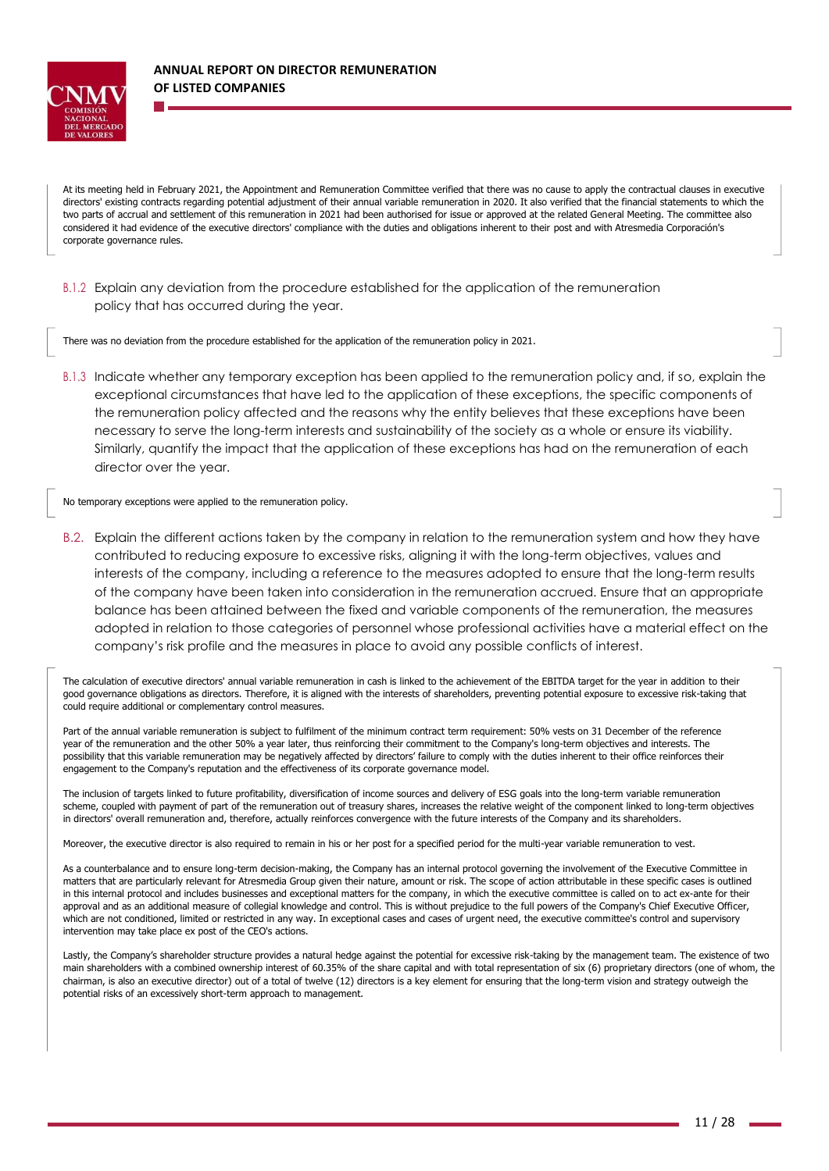

At its meeting held in February 2021, the Appointment and Remuneration Committee verified that there was no cause to apply the contractual clauses in executive directors' existing contracts regarding potential adjustment of their annual variable remuneration in 2020. It also verified that the financial statements to which the two parts of accrual and settlement of this remuneration in 2021 had been authorised for issue or approved at the related General Meeting. The committee also considered it had evidence of the executive directors' compliance with the duties and obligations inherent to their post and with Atresmedia Corporación's corporate governance rules.

B.1.2 Explain any deviation from the procedure established for the application of the remuneration policy that has occurred during the year.

There was no deviation from the procedure established for the application of the remuneration policy in 2021.

B.1.3 Indicate whether any temporary exception has been applied to the remuneration policy and, if so, explain the exceptional circumstances that have led to the application of these exceptions, the specific components of the remuneration policy affected and the reasons why the entity believes that these exceptions have been necessary to serve the long-term interests and sustainability of the society as a whole or ensure its viability. Similarly, quantify the impact that the application of these exceptions has had on the remuneration of each director over the year.

No temporary exceptions were applied to the remuneration policy.

B.2. Explain the different actions taken by the company in relation to the remuneration system and how they have contributed to reducing exposure to excessive risks, aligning it with the long-term objectives, values and interests of the company, including a reference to the measures adopted to ensure that the long-term results of the company have been taken into consideration in the remuneration accrued. Ensure that an appropriate balance has been attained between the fixed and variable components of the remuneration, the measures adopted in relation to those categories of personnel whose professional activities have a material effect on the company's risk profile and the measures in place to avoid any possible conflicts of interest.

The calculation of executive directors' annual variable remuneration in cash is linked to the achievement of the EBITDA target for the year in addition to their good governance obligations as directors. Therefore, it is aligned with the interests of shareholders, preventing potential exposure to excessive risk-taking that could require additional or complementary control measures.

Part of the annual variable remuneration is subject to fulfilment of the minimum contract term requirement: 50% vests on 31 December of the reference year of the remuneration and the other 50% a year later, thus reinforcing their commitment to the Company's long-term objectives and interests. The possibility that this variable remuneration may be negatively affected by directors' failure to comply with the duties inherent to their office reinforces their engagement to the Company's reputation and the effectiveness of its corporate governance model.

The inclusion of targets linked to future profitability, diversification of income sources and delivery of ESG goals into the long-term variable remuneration scheme, coupled with payment of part of the remuneration out of treasury shares, increases the relative weight of the component linked to long-term objectives in directors' overall remuneration and, therefore, actually reinforces convergence with the future interests of the Company and its shareholders.

Moreover, the executive director is also required to remain in his or her post for a specified period for the multi-year variable remuneration to vest.

As a counterbalance and to ensure long-term decision-making, the Company has an internal protocol governing the involvement of the Executive Committee in matters that are particularly relevant for Atresmedia Group given their nature, amount or risk. The scope of action attributable in these specific cases is outlined in this internal protocol and includes businesses and exceptional matters for the company, in which the executive committee is called on to act ex-ante for their approval and as an additional measure of collegial knowledge and control. This is without prejudice to the full powers of the Company's Chief Executive Officer, which are not conditioned, limited or restricted in any way. In exceptional cases and cases of urgent need, the executive committee's control and supervisory intervention may take place ex post of the CEO's actions.

Lastly, the Company's shareholder structure provides a natural hedge against the potential for excessive risk-taking by the management team. The existence of two main shareholders with a combined ownership interest of 60.35% of the share capital and with total representation of six (6) proprietary directors (one of whom, the chairman, is also an executive director) out of a total of twelve (12) directors is a key element for ensuring that the long-term vision and strategy outweigh the potential risks of an excessively short-term approach to management.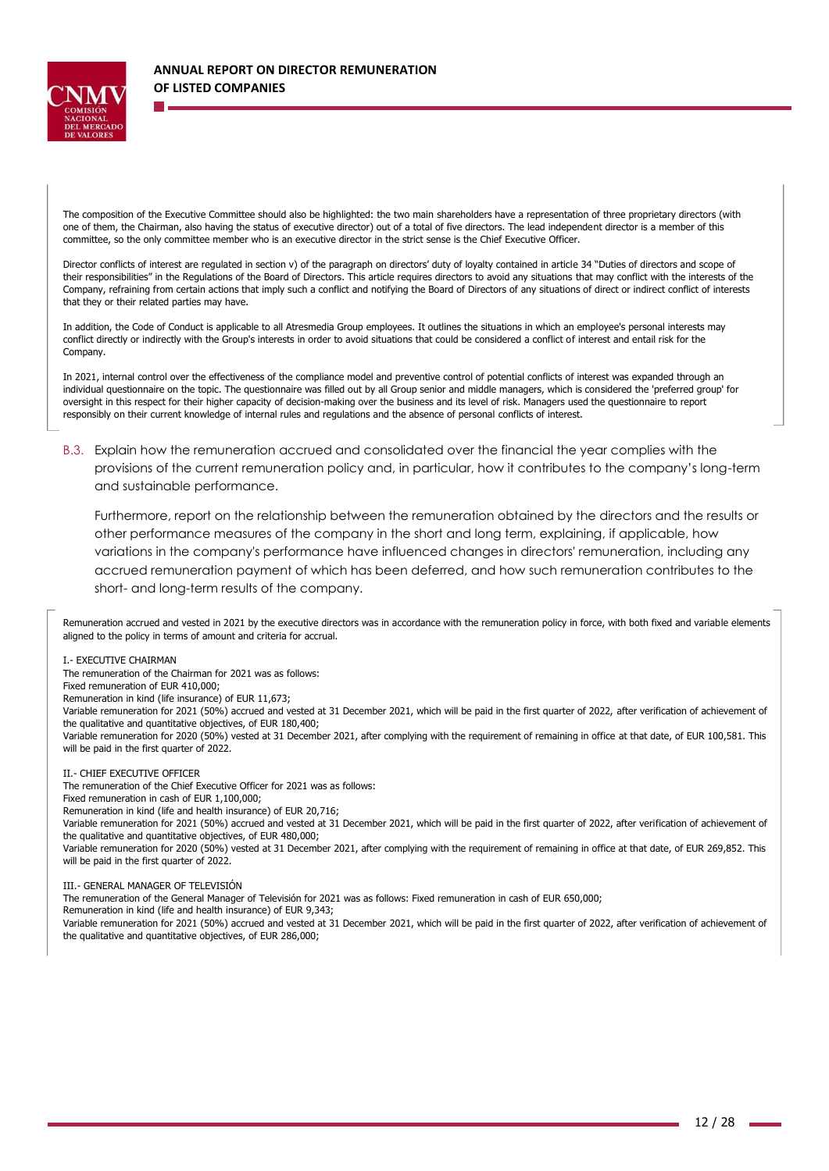

The composition of the Executive Committee should also be highlighted: the two main shareholders have a representation of three proprietary directors (with one of them, the Chairman, also having the status of executive director) out of a total of five directors. The lead independent director is a member of this committee, so the only committee member who is an executive director in the strict sense is the Chief Executive Officer.

Director conflicts of interest are regulated in section v) of the paragraph on directors' duty of loyalty contained in article 34 "Duties of directors and scope of their responsibilities" in the Regulations of the Board of Directors. This article requires directors to avoid any situations that may conflict with the interests of the Company, refraining from certain actions that imply such a conflict and notifying the Board of Directors of any situations of direct or indirect conflict of interests that they or their related parties may have.

In addition, the Code of Conduct is applicable to all Atresmedia Group employees. It outlines the situations in which an employee's personal interests may conflict directly or indirectly with the Group's interests in order to avoid situations that could be considered a conflict of interest and entail risk for the Company.

In 2021, internal control over the effectiveness of the compliance model and preventive control of potential conflicts of interest was expanded through an individual questionnaire on the topic. The questionnaire was filled out by all Group senior and middle managers, which is considered the 'preferred group' for oversight in this respect for their higher capacity of decision-making over the business and its level of risk. Managers used the questionnaire to report responsibly on their current knowledge of internal rules and regulations and the absence of personal conflicts of interest.

B.3. Explain how the remuneration accrued and consolidated over the financial the year complies with the provisions of the current remuneration policy and, in particular, how it contributes to the company's long-term and sustainable performance.

Furthermore, report on the relationship between the remuneration obtained by the directors and the results or other performance measures of the company in the short and long term, explaining, if applicable, how variations in the company's performance have influenced changes in directors' remuneration, including any accrued remuneration payment of which has been deferred, and how such remuneration contributes to the short- and long-term results of the company.

Remuneration accrued and vested in 2021 by the executive directors was in accordance with the remuneration policy in force, with both fixed and variable elements aligned to the policy in terms of amount and criteria for accrual.

I.- EXECUTIVE CHAIRMAN

The remuneration of the Chairman for 2021 was as follows:

Fixed remuneration of EUR 410,000;

Remuneration in kind (life insurance) of EUR 11,673;

Variable remuneration for 2021 (50%) accrued and vested at 31 December 2021, which will be paid in the first quarter of 2022, after verification of achievement of the qualitative and quantitative objectives, of EUR 180,400;

Variable remuneration for 2020 (50%) vested at 31 December 2021, after complying with the requirement of remaining in office at that date, of EUR 100,581. This will be paid in the first quarter of 2022.

#### II.- CHIEF EXECUTIVE OFFICER

The remuneration of the Chief Executive Officer for 2021 was as follows:

Fixed remuneration in cash of EUR 1,100,000;

Remuneration in kind (life and health insurance) of EUR 20,716;

Variable remuneration for 2021 (50%) accrued and vested at 31 December 2021, which will be paid in the first quarter of 2022, after verification of achievement of the qualitative and quantitative objectives, of EUR 480,000;

Variable remuneration for 2020 (50%) vested at 31 December 2021, after complying with the requirement of remaining in office at that date, of EUR 269,852. This will be paid in the first quarter of 2022.

III.- GENERAL MANAGER OF TELEVISIÓN

The remuneration of the General Manager of Televisión for 2021 was as follows: Fixed remuneration in cash of EUR 650,000;

Remuneration in kind (life and health insurance) of EUR 9,343;

Variable remuneration for 2021 (50%) accrued and vested at 31 December 2021, which will be paid in the first quarter of 2022, after verification of achievement of the qualitative and quantitative objectives, of EUR 286,000;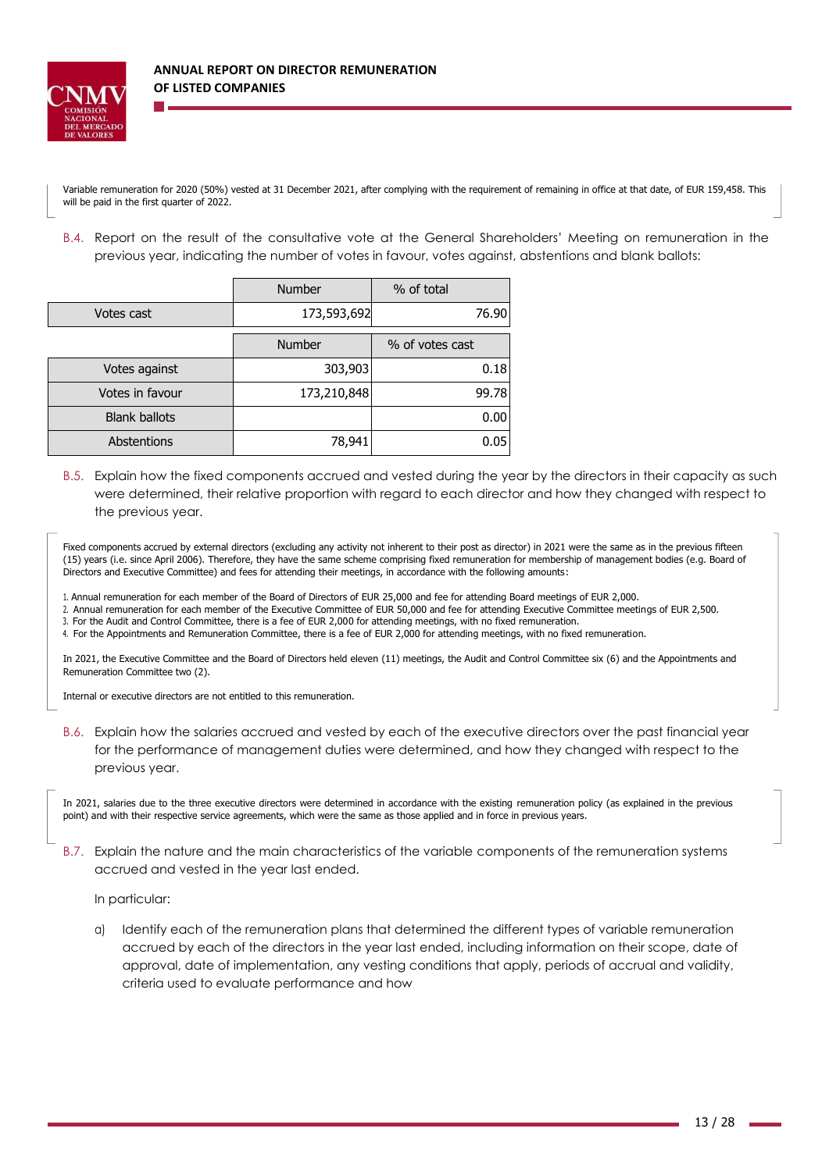

Variable remuneration for 2020 (50%) vested at 31 December 2021, after complying with the requirement of remaining in office at that date, of EUR 159,458. This will be paid in the first quarter of 2022.

B.4. Report on the result of the consultative vote at the General Shareholders' Meeting on remuneration in the previous year, indicating the number of votes in favour, votes against, abstentions and blank ballots:

|                      | <b>Number</b> | % of total      |
|----------------------|---------------|-----------------|
| Votes cast           | 173,593,692   | 76.90           |
|                      | Number        | % of votes cast |
| Votes against        | 303,903       | 0.18            |
| Votes in favour      | 173,210,848   | 99.78           |
| <b>Blank ballots</b> |               | 0.00            |
| <b>Abstentions</b>   | 78,941        | 0.05            |

B.5. Explain how the fixed components accrued and vested during the year by the directors in their capacity as such were determined, their relative proportion with regard to each director and how they changed with respect to the previous year.

Fixed components accrued by external directors (excluding any activity not inherent to their post as director) in 2021 were the same as in the previous fifteen (15) years (i.e. since April 2006). Therefore, they have the same scheme comprising fixed remuneration for membership of management bodies (e.g. Board of Directors and Executive Committee) and fees for attending their meetings, in accordance with the following amounts:

1. Annual remuneration for each member of the Board of Directors of EUR 25,000 and fee for attending Board meetings of EUR 2,000.

2. Annual remuneration for each member of the Executive Committee of EUR 50,000 and fee for attending Executive Committee meetings of EUR 2,500.

3. For the Audit and Control Committee, there is a fee of EUR 2,000 for attending meetings, with no fixed remuneration.

4. For the Appointments and Remuneration Committee, there is a fee of EUR 2,000 for attending meetings, with no fixed remuneration.

In 2021, the Executive Committee and the Board of Directors held eleven (11) meetings, the Audit and Control Committee six (6) and the Appointments and Remuneration Committee two (2).

Internal or executive directors are not entitled to this remuneration.

B.6. Explain how the salaries accrued and vested by each of the executive directors over the past financial year for the performance of management duties were determined, and how they changed with respect to the previous year.

In 2021, salaries due to the three executive directors were determined in accordance with the existing remuneration policy (as explained in the previous point) and with their respective service agreements, which were the same as those applied and in force in previous years.

B.7. Explain the nature and the main characteristics of the variable components of the remuneration systems accrued and vested in the year last ended.

In particular:

a) Identify each of the remuneration plans that determined the different types of variable remuneration accrued by each of the directors in the year last ended, including information on their scope, date of approval, date of implementation, any vesting conditions that apply, periods of accrual and validity, criteria used to evaluate performance and how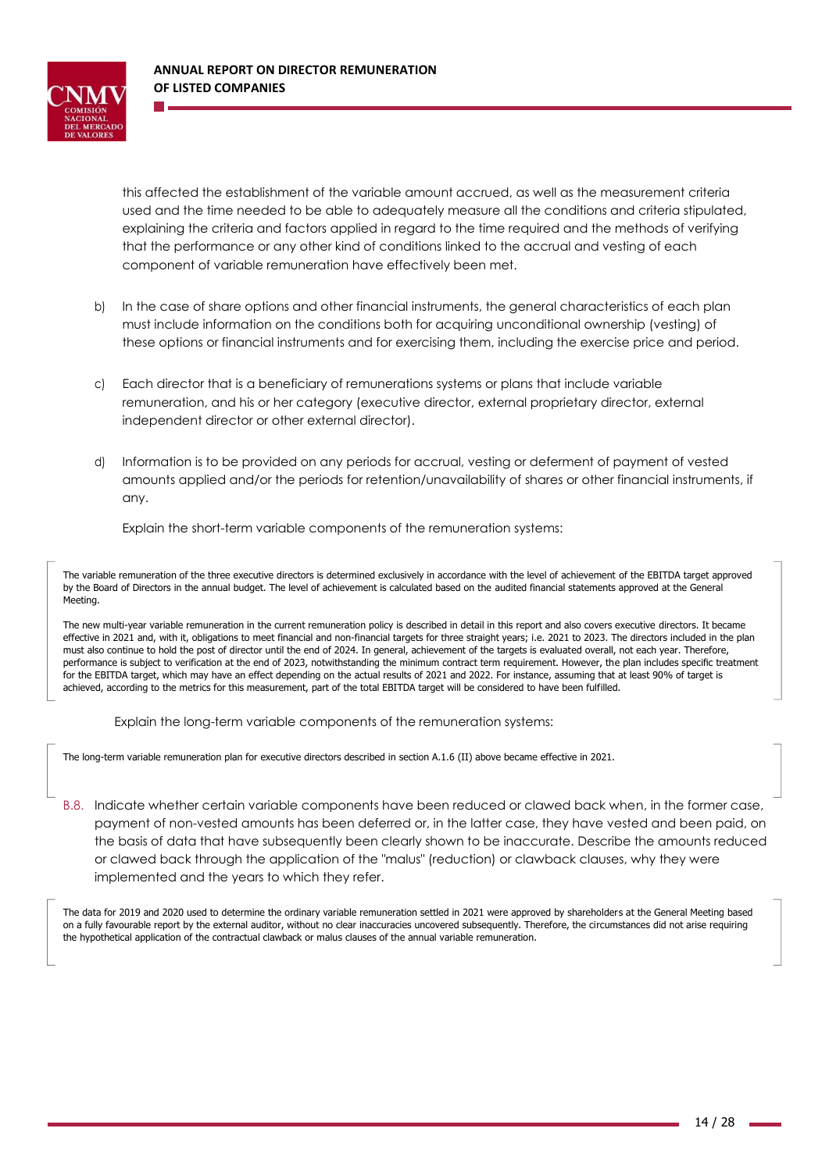

this affected the establishment of the variable amount accrued, as well as the measurement criteria used and the time needed to be able to adequately measure all the conditions and criteria stipulated, explaining the criteria and factors applied in regard to the time required and the methods of verifying that the performance or any other kind of conditions linked to the accrual and vesting of each component of variable remuneration have effectively been met.

- b) In the case of share options and other financial instruments, the general characteristics of each plan must include information on the conditions both for acquiring unconditional ownership (vesting) of these options or financial instruments and for exercising them, including the exercise price and period.
- c) Each director that is a beneficiary of remunerations systems or plans that include variable remuneration, and his or her category (executive director, external proprietary director, external independent director or other external director).
- d) Information is to be provided on any periods for accrual, vesting or deferment of payment of vested amounts applied and/or the periods for retention/unavailability of shares or other financial instruments, if any.

Explain the short-term variable components of the remuneration systems:

The variable remuneration of the three executive directors is determined exclusively in accordance with the level of achievement of the EBITDA target approved by the Board of Directors in the annual budget. The level of achievement is calculated based on the audited financial statements approved at the General Meeting.

The new multi-year variable remuneration in the current remuneration policy is described in detail in this report and also covers executive directors. It became effective in 2021 and, with it, obligations to meet financial and non-financial targets for three straight years; i.e. 2021 to 2023. The directors included in the plan must also continue to hold the post of director until the end of 2024. In general, achievement of the targets is evaluated overall, not each year. Therefore, performance is subject to verification at the end of 2023, notwithstanding the minimum contract term requirement. However, the plan includes specific treatment for the EBITDA target, which may have an effect depending on the actual results of 2021 and 2022. For instance, assuming that at least 90% of target is achieved, according to the metrics for this measurement, part of the total EBITDA target will be considered to have been fulfilled.

Explain the long-term variable components of the remuneration systems:

The long-term variable remuneration plan for executive directors described in section A.1.6 (II) above became effective in 2021.

B.8. Indicate whether certain variable components have been reduced or clawed back when, in the former case, payment of non-vested amounts has been deferred or, in the latter case, they have vested and been paid, on the basis of data that have subsequently been clearly shown to be inaccurate. Describe the amounts reduced or clawed back through the application of the "malus" (reduction) or clawback clauses, why they were implemented and the years to which they refer.

The data for 2019 and 2020 used to determine the ordinary variable remuneration settled in 2021 were approved by shareholders at the General Meeting based on a fully favourable report by the external auditor, without no clear inaccuracies uncovered subsequently. Therefore, the circumstances did not arise requiring the hypothetical application of the contractual clawback or malus clauses of the annual variable remuneration.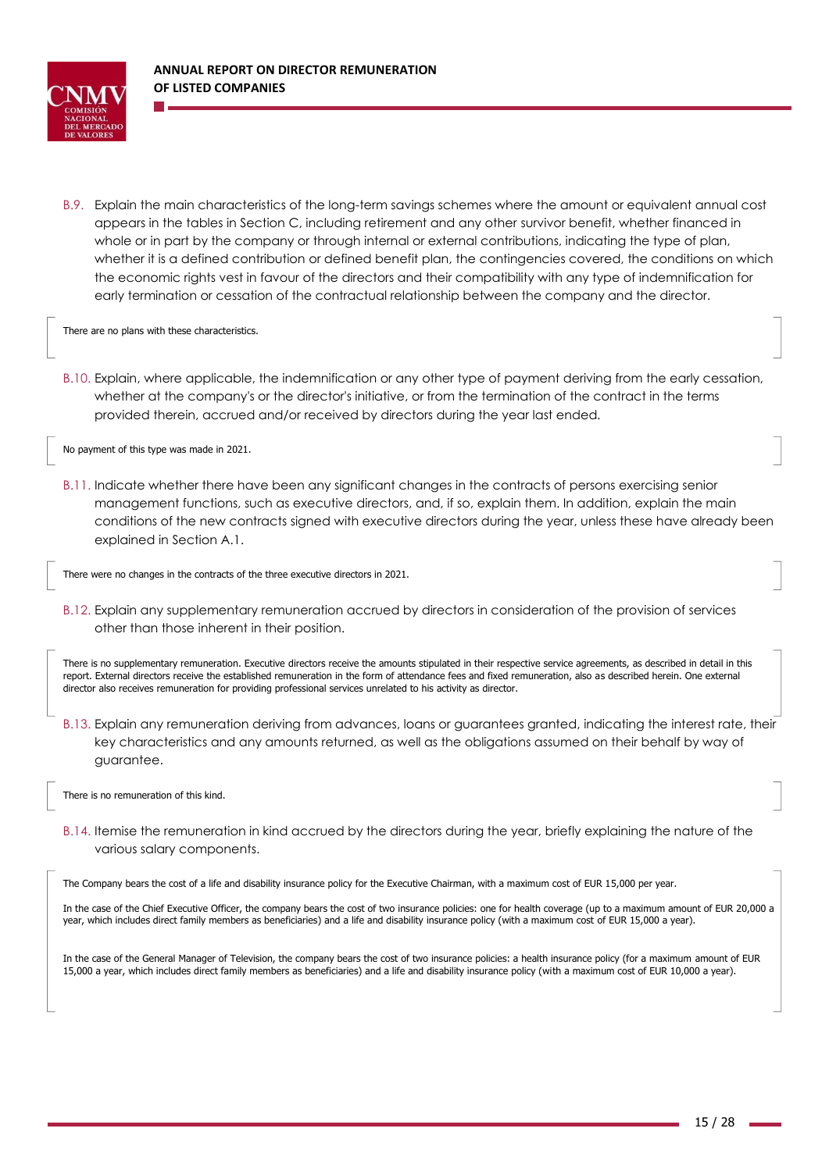

B.9. Explain the main characteristics of the long-term savings schemes where the amount or equivalent annual cost appears in the tables in Section C, including retirement and any other survivor benefit, whether financed in whole or in part by the company or through internal or external contributions, indicating the type of plan, whether it is a defined contribution or defined benefit plan, the contingencies covered, the conditions on which the economic rights vest in favour of the directors and their compatibility with any type of indemnification for early termination or cessation of the contractual relationship between the company and the director.

There are no plans with these characteristics.

B.10. Explain, where applicable, the indemnification or any other type of payment deriving from the early cessation, whether at the company's or the director's initiative, or from the termination of the contract in the terms provided therein, accrued and/or received by directors during the year last ended.

No payment of this type was made in 2021.

B.11. Indicate whether there have been any significant changes in the contracts of persons exercising senior management functions, such as executive directors, and, if so, explain them. In addition, explain the main conditions of the new contracts signed with executive directors during the year, unless these have already been explained in Section A.1.

There were no changes in the contracts of the three executive directors in 2021.

B.12. Explain any supplementary remuneration accrued by directors in consideration of the provision of services other than those inherent in their position.

There is no supplementary remuneration. Executive directors receive the amounts stipulated in their respective service agreements, as described in detail in this report. External directors receive the established remuneration in the form of attendance fees and fixed remuneration, also as described herein. One external director also receives remuneration for providing professional services unrelated to his activity as director.

B.13. Explain any remuneration deriving from advances, loans or guarantees granted, indicating the interest rate, their key characteristics and any amounts returned, as well as the obligations assumed on their behalf by way of guarantee.

There is no remuneration of this kind.

B.14. Itemise the remuneration in kind accrued by the directors during the year, briefly explaining the nature of the various salary components.

The Company bears the cost of a life and disability insurance policy for the Executive Chairman, with a maximum cost of EUR 15,000 per year.

In the case of the Chief Executive Officer, the company bears the cost of two insurance policies: one for health coverage (up to a maximum amount of EUR 20,000 a year, which includes direct family members as beneficiaries) and a life and disability insurance policy (with a maximum cost of EUR 15,000 a year).

In the case of the General Manager of Television, the company bears the cost of two insurance policies: a health insurance policy (for a maximum amount of EUR 15,000 a year, which includes direct family members as beneficiaries) and a life and disability insurance policy (with a maximum cost of EUR 10,000 a year).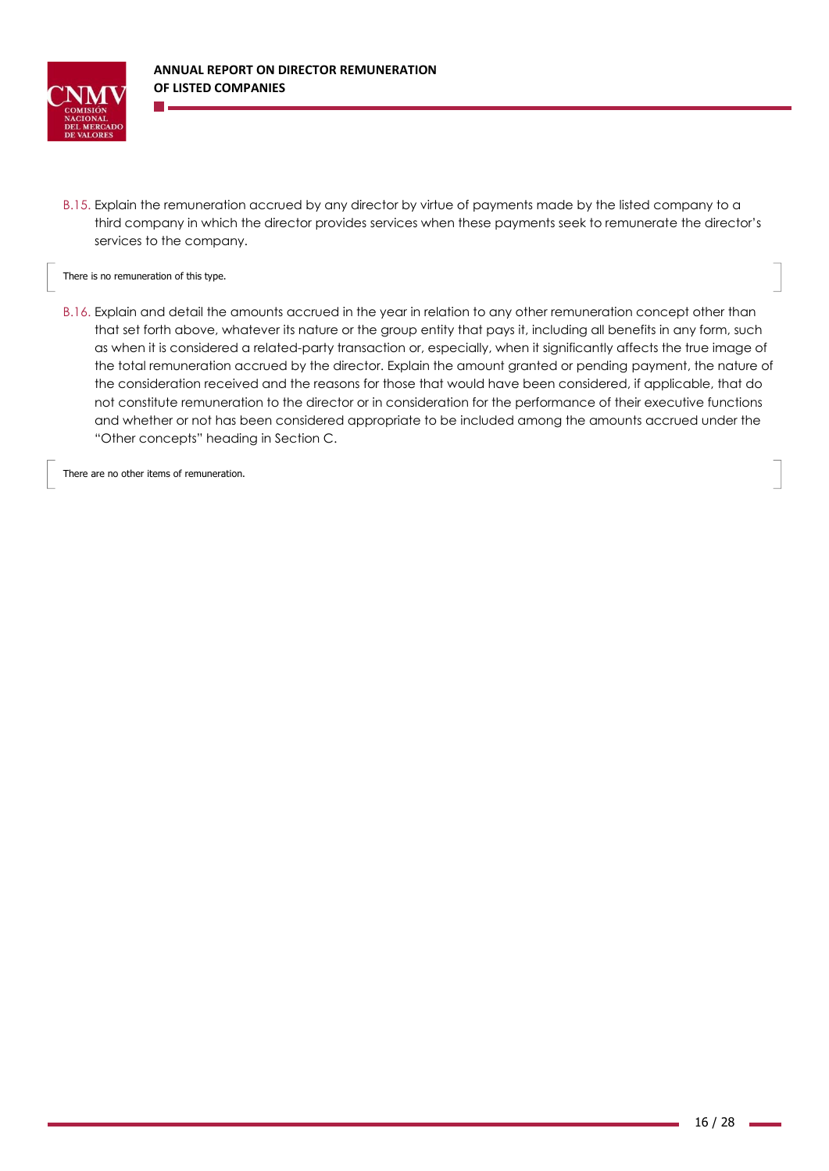

B.15. Explain the remuneration accrued by any director by virtue of payments made by the listed company to a third company in which the director provides services when these payments seek to remunerate the director's services to the company.

There is no remuneration of this type.

B.16. Explain and detail the amounts accrued in the year in relation to any other remuneration concept other than that set forth above, whatever its nature or the group entity that pays it, including all benefits in any form, such as when it is considered a related-party transaction or, especially, when it significantly affects the true image of the total remuneration accrued by the director. Explain the amount granted or pending payment, the nature of the consideration received and the reasons for those that would have been considered, if applicable, that do not constitute remuneration to the director or in consideration for the performance of their executive functions and whether or not has been considered appropriate to be included among the amounts accrued under the "Other concepts" heading in Section C.

There are no other items of remuneration.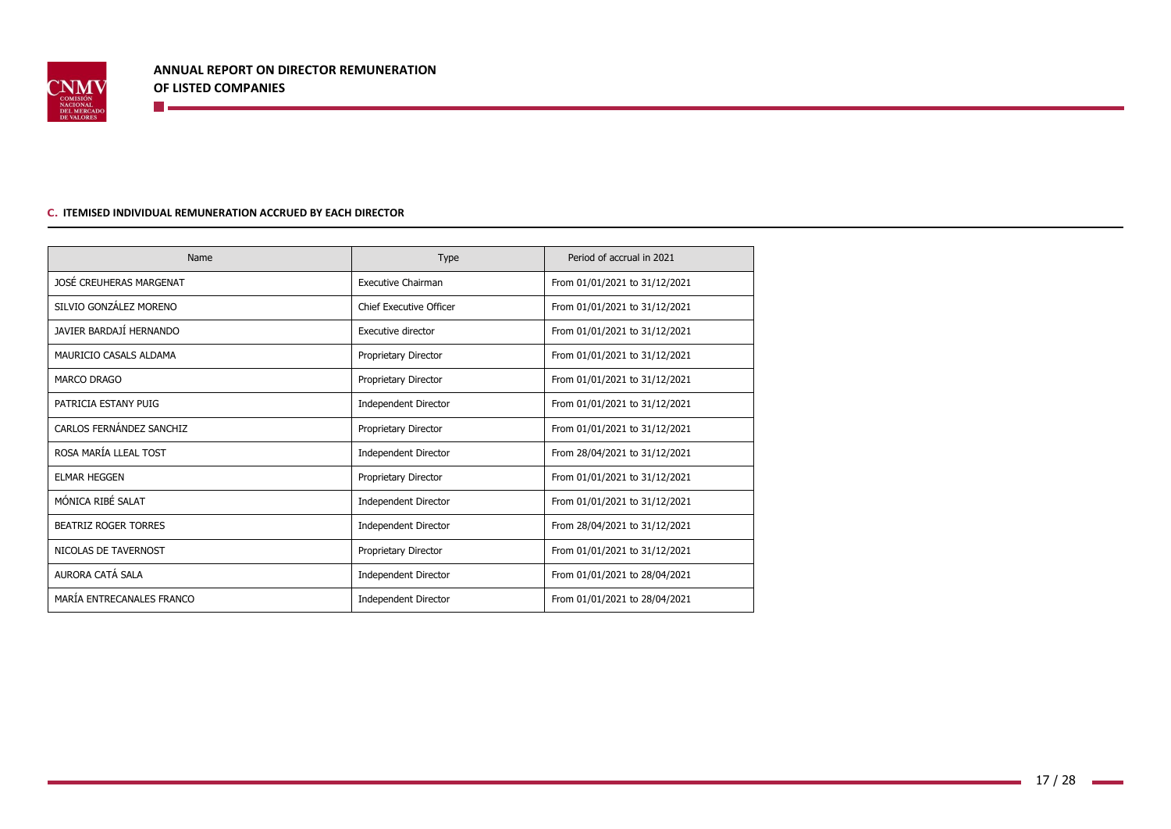

#### **C. ITEMISED INDIVIDUAL REMUNERATION ACCRUED BY EACH DIRECTOR**

<u> Tanzania (h. 1878).</u>

| Name                        | <b>Type</b>                 | Period of accrual in 2021     |
|-----------------------------|-----------------------------|-------------------------------|
| JOSÉ CREUHERAS MARGENAT     | <b>Executive Chairman</b>   | From 01/01/2021 to 31/12/2021 |
| SILVIO GONZÁLEZ MORENO      | Chief Executive Officer     | From 01/01/2021 to 31/12/2021 |
| JAVIER BARDAJÍ HERNANDO     | Executive director          | From 01/01/2021 to 31/12/2021 |
| MAURICIO CASALS ALDAMA      | Proprietary Director        | From 01/01/2021 to 31/12/2021 |
| MARCO DRAGO                 | Proprietary Director        | From 01/01/2021 to 31/12/2021 |
| PATRICIA ESTANY PUIG        | <b>Independent Director</b> | From 01/01/2021 to 31/12/2021 |
| CARLOS FERNÁNDEZ SANCHIZ    | Proprietary Director        | From 01/01/2021 to 31/12/2021 |
| ROSA MARÍA LLEAL TOST       | <b>Independent Director</b> | From 28/04/2021 to 31/12/2021 |
| <b>ELMAR HEGGEN</b>         | Proprietary Director        | From 01/01/2021 to 31/12/2021 |
| MÓNICA RIBÉ SALAT           | <b>Independent Director</b> | From 01/01/2021 to 31/12/2021 |
| <b>BEATRIZ ROGER TORRES</b> | <b>Independent Director</b> | From 28/04/2021 to 31/12/2021 |
| NICOLAS DE TAVERNOST        | Proprietary Director        | From 01/01/2021 to 31/12/2021 |
| AURORA CATÁ SALA            | <b>Independent Director</b> | From 01/01/2021 to 28/04/2021 |
| MARÍA ENTRECANALES FRANCO   | <b>Independent Director</b> | From 01/01/2021 to 28/04/2021 |

 $\sim 10$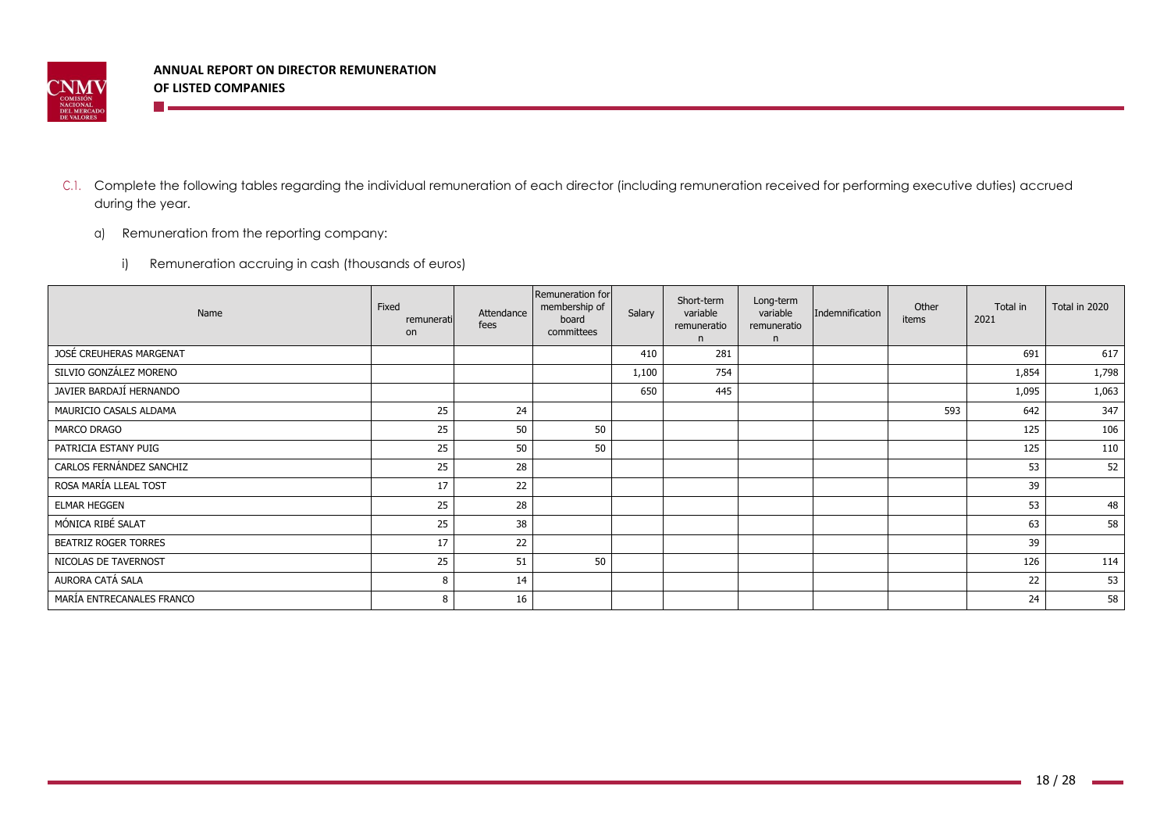

**The Company** 

- C.1. Complete the following tables regarding the individual remuneration of each director (including remuneration received for performing executive duties) accrued during the year.
	- a) Remuneration from the reporting company:
		- i) Remuneration accruing in cash (thousands of euros)

| Name                        | Fixed<br>remunerati<br>on | Attendance<br>fees | Remuneration for<br>membership of<br>board<br>committees | Salary | Short-term<br>variable<br>remuneratio<br>n | Long-term<br>variable<br>remuneratio<br>n. | Indemnification | Other<br>items | Total in<br>2021 | Total in 2020 |
|-----------------------------|---------------------------|--------------------|----------------------------------------------------------|--------|--------------------------------------------|--------------------------------------------|-----------------|----------------|------------------|---------------|
| JOSÉ CREUHERAS MARGENAT     |                           |                    |                                                          | 410    | 281                                        |                                            |                 |                | 691              | 617           |
| SILVIO GONZÁLEZ MORENO      |                           |                    |                                                          | 1,100  | 754                                        |                                            |                 |                | 1,854            | 1,798         |
| JAVIER BARDAJÍ HERNANDO     |                           |                    |                                                          | 650    | 445                                        |                                            |                 |                | 1,095            | 1,063         |
| MAURICIO CASALS ALDAMA      | 25                        | 24                 |                                                          |        |                                            |                                            |                 | 593            | 642              | 347           |
| MARCO DRAGO                 | 25                        | 50                 | 50                                                       |        |                                            |                                            |                 |                | 125              | 106           |
| PATRICIA ESTANY PUIG        | 25                        | 50                 | 50                                                       |        |                                            |                                            |                 |                | 125              | 110           |
| CARLOS FERNÁNDEZ SANCHIZ    | 25                        | 28                 |                                                          |        |                                            |                                            |                 |                | 53               | 52            |
| ROSA MARÍA LLEAL TOST       | 17                        | 22                 |                                                          |        |                                            |                                            |                 |                | 39               |               |
| <b>ELMAR HEGGEN</b>         | 25                        | 28                 |                                                          |        |                                            |                                            |                 |                | 53               | 48            |
| MÓNICA RIBÉ SALAT           | 25                        | 38                 |                                                          |        |                                            |                                            |                 |                | 63               | 58            |
| <b>BEATRIZ ROGER TORRES</b> | 17                        | 22                 |                                                          |        |                                            |                                            |                 |                | 39               |               |
| NICOLAS DE TAVERNOST        | 25                        | 51                 | 50                                                       |        |                                            |                                            |                 |                | 126              | 114           |
| AURORA CATÁ SALA            | 8                         | 14                 |                                                          |        |                                            |                                            |                 |                | 22               | 53            |
| MARÍA ENTRECANALES FRANCO   | 8                         | 16                 |                                                          |        |                                            |                                            |                 |                | 24               | 58            |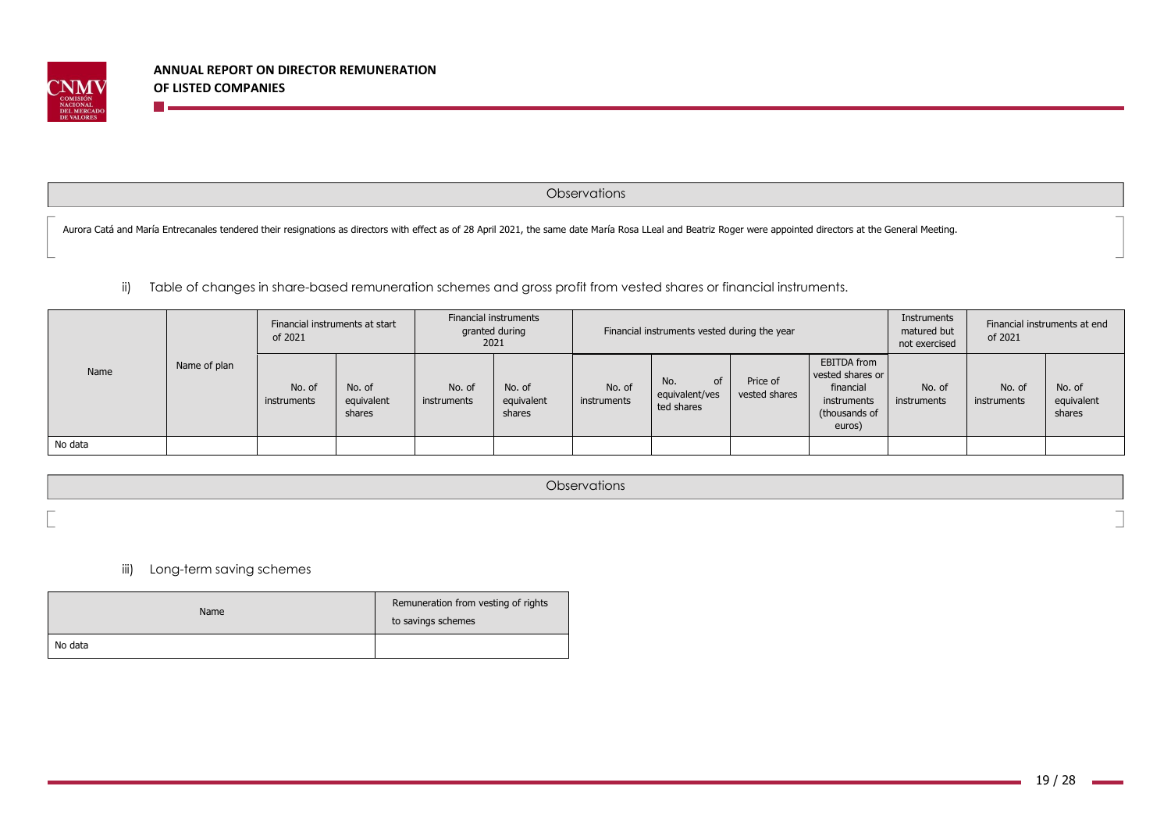

**The Co** 

**Observations** 

Aurora Catá and María Entrecanales tendered their resignations as directors with effect as of 28 April 2021, the same date María Rosa LLeal and Beatriz Roger were appointed directors at the General Meeting.

ii) Table of changes in share-based remuneration schemes and gross profit from vested shares or financial instruments.

|         |              | Financial instruments at start<br>of 2021 |                                |                       |                                | Financial instruments<br>granted during<br>2021 |                                                  |                           | Financial instruments vested during the year                                           |                       | Instruments<br>matured but<br>not exercised | of 2021                        | Financial instruments at end |  |
|---------|--------------|-------------------------------------------|--------------------------------|-----------------------|--------------------------------|-------------------------------------------------|--------------------------------------------------|---------------------------|----------------------------------------------------------------------------------------|-----------------------|---------------------------------------------|--------------------------------|------------------------------|--|
| Name    | Name of plan | No. of<br>instruments                     | No. of<br>equivalent<br>shares | No. of<br>instruments | No. of<br>equivalent<br>shares | No. of<br>instruments                           | No.<br><b>of</b><br>equivalent/ves<br>ted shares | Price of<br>vested shares | EBITDA from<br>vested shares or<br>financial<br>instruments<br>(thousands of<br>euros) | No. of<br>instruments | No. of<br>instruments                       | No. of<br>equivalent<br>shares |                              |  |
| No data |              |                                           |                                |                       |                                |                                                 |                                                  |                           |                                                                                        |                       |                                             |                                |                              |  |

**Observations** 

iii) Long-term saving schemes

| Name    | Remuneration from vesting of rights<br>to savings schemes |
|---------|-----------------------------------------------------------|
| No data |                                                           |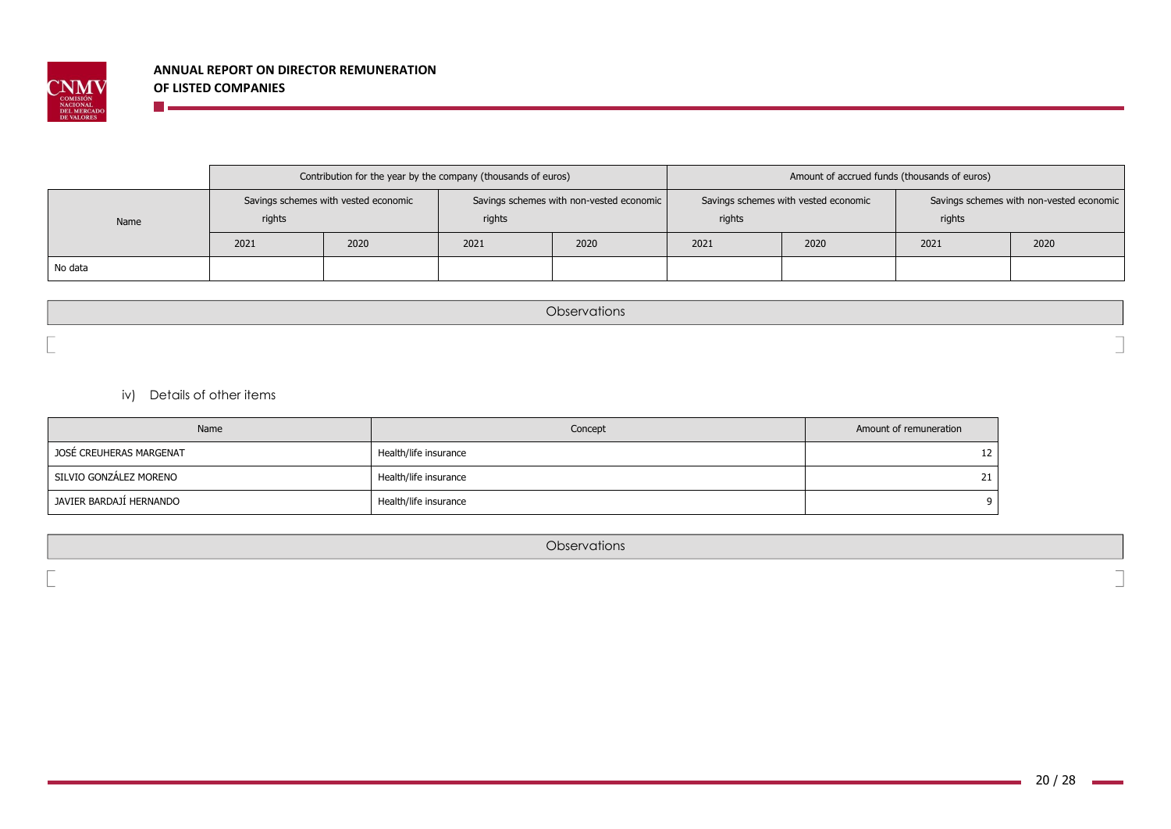

|         |                                                | Contribution for the year by the company (thousands of euros) |        |                                          | Amount of accrued funds (thousands of euros) |                                      |                                                    |      |  |  |
|---------|------------------------------------------------|---------------------------------------------------------------|--------|------------------------------------------|----------------------------------------------|--------------------------------------|----------------------------------------------------|------|--|--|
| Name    | Savings schemes with vested economic<br>rights |                                                               | rights | Savings schemes with non-vested economic | rights                                       | Savings schemes with vested economic | Savings schemes with non-vested economic<br>rights |      |  |  |
|         | 2021                                           | 2020                                                          | 2021   | 2020                                     | 2020<br>2021                                 |                                      | 2021                                               | 2020 |  |  |
| No data |                                                |                                                               |        |                                          |                                              |                                      |                                                    |      |  |  |

**Observations** 

iv) Details of other items

**The Co** 

| Name                    | Concept               | Amount of remuneration |
|-------------------------|-----------------------|------------------------|
| JOSÉ CREUHERAS MARGENAT | Health/life insurance | 12                     |
| SILVIO GONZÁLEZ MORENO  | Health/life insurance | 21                     |
| JAVIER BARDAJÍ HERNANDO | Health/life insurance | Q                      |

**Observations**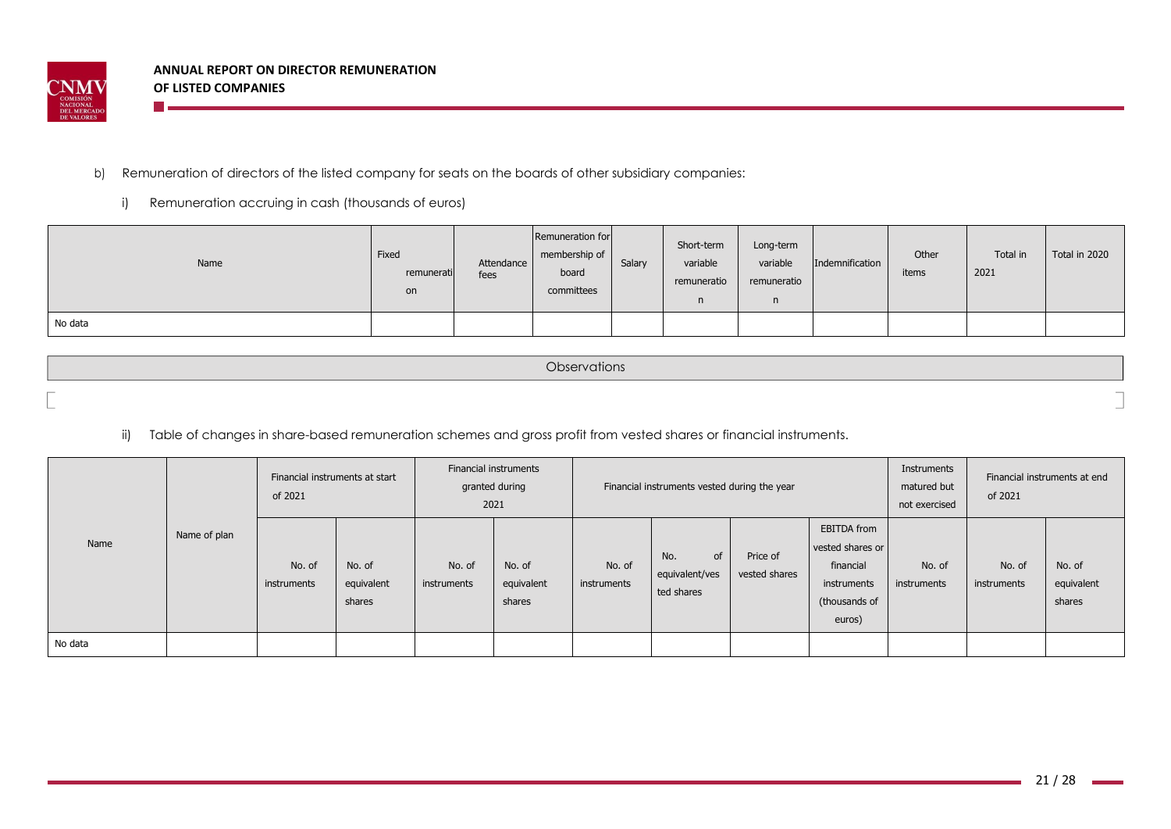

**The Co** 

## b) Remuneration of directors of the listed company for seats on the boards of other subsidiary companies:

i) Remuneration accruing in cash (thousands of euros)

| Name    | Fixed<br>remunerati<br>on | Attendance<br>fees | Remuneration for<br>membership of<br>board<br>committees | Salary | Short-term<br>variable<br>remuneratio<br>$\mathsf{n}$ | Long-term<br>variable<br>remuneratio | Indemnification | Other<br>items | Total in<br>2021 | Total in 2020 |
|---------|---------------------------|--------------------|----------------------------------------------------------|--------|-------------------------------------------------------|--------------------------------------|-----------------|----------------|------------------|---------------|
| No data |                           |                    |                                                          |        |                                                       |                                      |                 |                |                  |               |

| Observations |  |
|--------------|--|
|              |  |

# ii) Table of changes in share-based remuneration schemes and gross profit from vested shares or financial instruments.

|         |              | Financial instruments at start<br>of 2021 |                                |                       | Financial instruments<br>granted during<br>Financial instruments vested during the year<br>2021 |                       |                                           |                           |                                                                                               | Instruments<br>matured but<br>not exercised | Financial instruments at end<br>of 2021 |                                |
|---------|--------------|-------------------------------------------|--------------------------------|-----------------------|-------------------------------------------------------------------------------------------------|-----------------------|-------------------------------------------|---------------------------|-----------------------------------------------------------------------------------------------|---------------------------------------------|-----------------------------------------|--------------------------------|
| Name    | Name of plan | No. of<br>instruments                     | No. of<br>equivalent<br>shares | No. of<br>instruments | No. of<br>equivalent<br>shares                                                                  | No. of<br>instruments | of<br>No.<br>equivalent/ves<br>ted shares | Price of<br>vested shares | <b>EBITDA</b> from<br>vested shares or<br>financial<br>instruments<br>(thousands of<br>euros) | No. of<br>instruments                       | No. of<br>instruments                   | No. of<br>equivalent<br>shares |
| No data |              |                                           |                                |                       |                                                                                                 |                       |                                           |                           |                                                                                               |                                             |                                         |                                |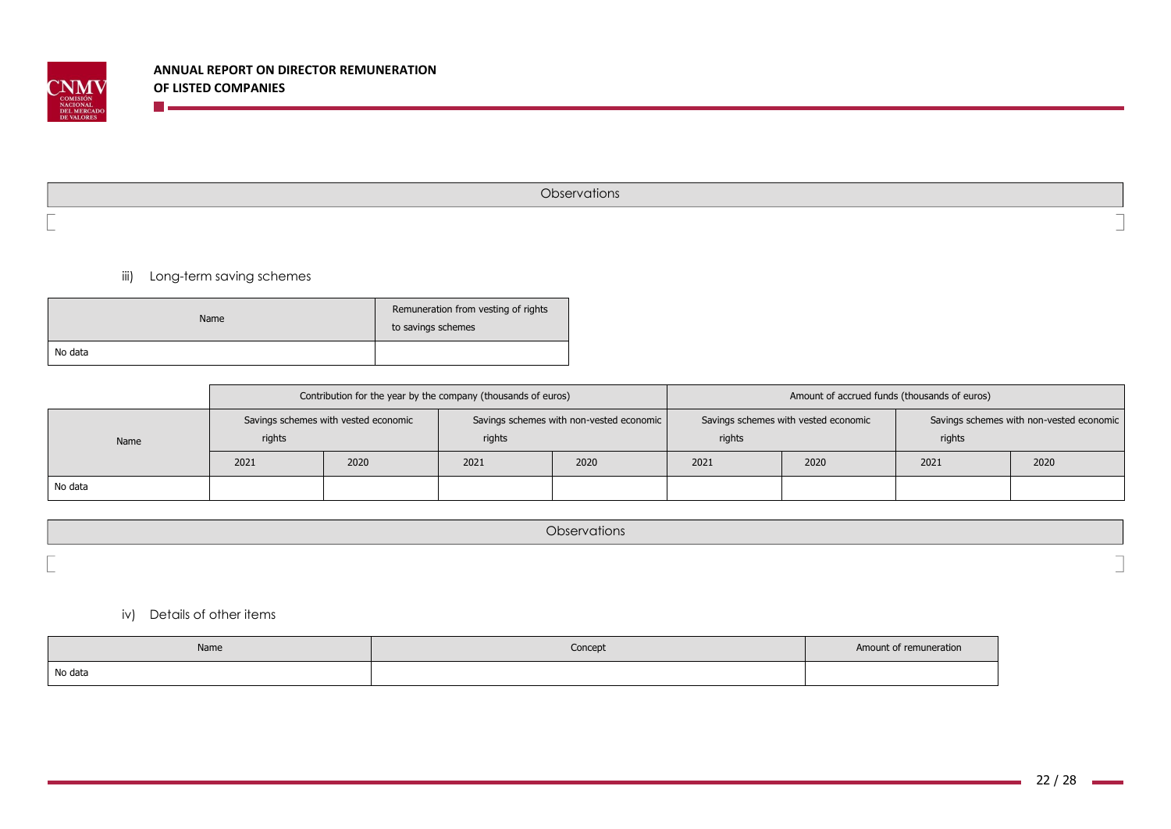

**Observations** 

iii) Long-term saving schemes

<u> El alta de la conte</u>

| Name    | Remuneration from vesting of rights<br>to savings schemes |
|---------|-----------------------------------------------------------|
| No data |                                                           |

|         |        | Contribution for the year by the company (thousands of euros) |        |                                          | Amount of accrued funds (thousands of euros) |                                      |                                                    |      |  |  |
|---------|--------|---------------------------------------------------------------|--------|------------------------------------------|----------------------------------------------|--------------------------------------|----------------------------------------------------|------|--|--|
| Name    | rights | Savings schemes with vested economic                          | rights | Savings schemes with non-vested economic | rights                                       | Savings schemes with vested economic | Savings schemes with non-vested economic<br>rights |      |  |  |
|         | 2021   | 2020                                                          | 2021   | 2020                                     | 2021                                         | 2020                                 | 2021                                               | 2020 |  |  |
| No data |        |                                                               |        |                                          |                                              |                                      |                                                    |      |  |  |

|                          | <b>Diservations</b> |
|--------------------------|---------------------|
| $\overline{\phantom{a}}$ |                     |

iv) Details of other items

| Name    | Concept | Amount of remuneration |
|---------|---------|------------------------|
| No data |         |                        |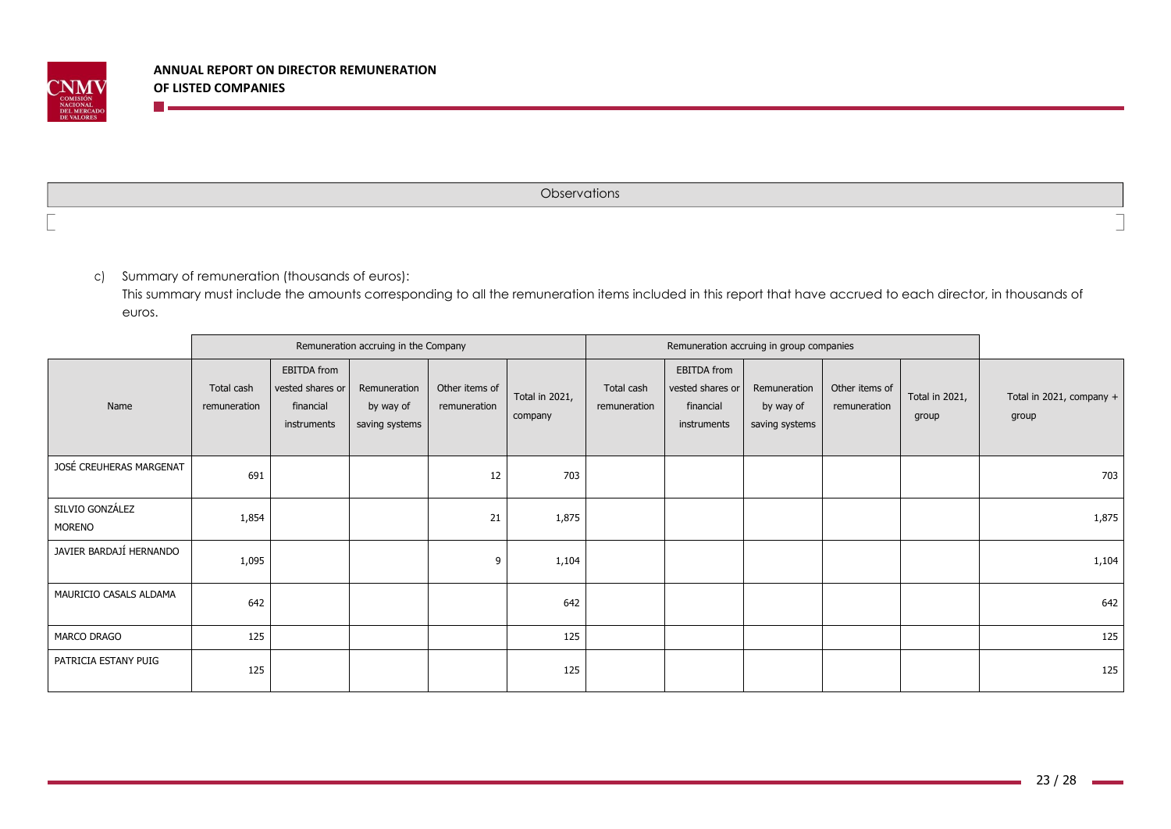

n <sub>m</sub>

**Observations** 

c) Summary of remuneration (thousands of euros):

This summary must include the amounts corresponding to all the remuneration items included in this report that have accrued to each director, in thousands of euros.

|                           |                            |                                                             | Remuneration accruing in the Company        |                                |                           | Remuneration accruing in group companies |                                                                    |                                             |                                |                         |                                   |
|---------------------------|----------------------------|-------------------------------------------------------------|---------------------------------------------|--------------------------------|---------------------------|------------------------------------------|--------------------------------------------------------------------|---------------------------------------------|--------------------------------|-------------------------|-----------------------------------|
| Name                      | Total cash<br>remuneration | EBITDA from<br>vested shares or<br>financial<br>instruments | Remuneration<br>by way of<br>saving systems | Other items of<br>remuneration | Total in 2021,<br>company | Total cash<br>remuneration               | <b>EBITDA</b> from<br>vested shares or<br>financial<br>instruments | Remuneration<br>by way of<br>saving systems | Other items of<br>remuneration | Total in 2021,<br>group | Total in 2021, company +<br>group |
| JOSÉ CREUHERAS MARGENAT   | 691                        |                                                             |                                             | 12                             | 703                       |                                          |                                                                    |                                             |                                |                         | 703                               |
| SILVIO GONZÁLEZ<br>MORENO | 1,854                      |                                                             |                                             | 21                             | 1,875                     |                                          |                                                                    |                                             |                                |                         | 1,875                             |
| JAVIER BARDAJÍ HERNANDO   | 1,095                      |                                                             |                                             | 9                              | 1,104                     |                                          |                                                                    |                                             |                                |                         | 1,104                             |
| MAURICIO CASALS ALDAMA    | 642                        |                                                             |                                             |                                | 642                       |                                          |                                                                    |                                             |                                |                         | 642                               |
| <b>MARCO DRAGO</b>        | 125                        |                                                             |                                             |                                | 125                       |                                          |                                                                    |                                             |                                |                         | 125                               |
| PATRICIA ESTANY PUIG      | 125                        |                                                             |                                             |                                | 125                       |                                          |                                                                    |                                             |                                |                         | 125                               |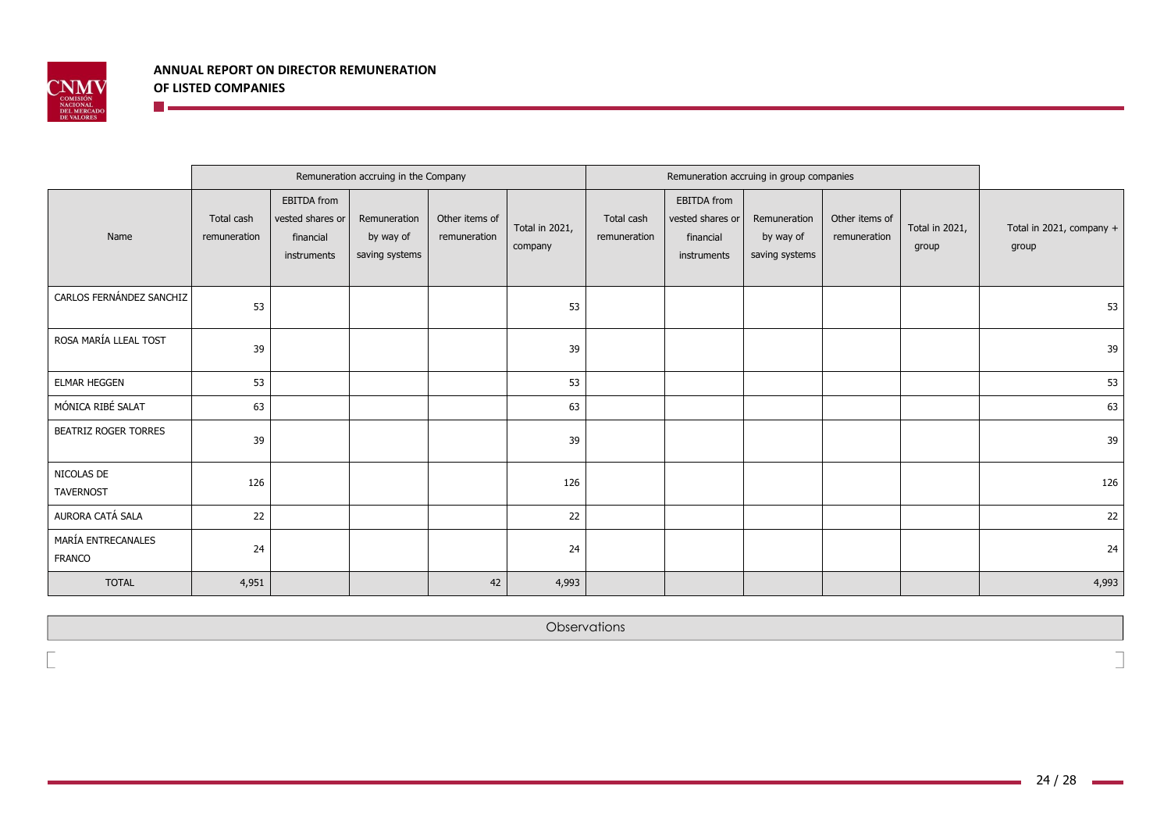

**The Communist Communist Communist Communist Communist Communist** 

|                                     |                            |                                                             | Remuneration accruing in the Company        |                                |                           |                            | Remuneration accruing in group companies                           |                                             |                                |                         |                                   |
|-------------------------------------|----------------------------|-------------------------------------------------------------|---------------------------------------------|--------------------------------|---------------------------|----------------------------|--------------------------------------------------------------------|---------------------------------------------|--------------------------------|-------------------------|-----------------------------------|
| Name                                | Total cash<br>remuneration | EBITDA from<br>vested shares or<br>financial<br>instruments | Remuneration<br>by way of<br>saving systems | Other items of<br>remuneration | Total in 2021,<br>company | Total cash<br>remuneration | <b>EBITDA</b> from<br>vested shares or<br>financial<br>instruments | Remuneration<br>by way of<br>saving systems | Other items of<br>remuneration | Total in 2021,<br>group | Total in 2021, company +<br>group |
| CARLOS FERNÁNDEZ SANCHIZ            | 53                         |                                                             |                                             |                                | 53                        |                            |                                                                    |                                             |                                |                         | 53                                |
| ROSA MARÍA LLEAL TOST               | 39                         |                                                             |                                             |                                | 39                        |                            |                                                                    |                                             |                                |                         | 39                                |
| <b>ELMAR HEGGEN</b>                 | 53                         |                                                             |                                             |                                | 53                        |                            |                                                                    |                                             |                                |                         | 53                                |
| MÓNICA RIBÉ SALAT                   | 63                         |                                                             |                                             |                                | 63                        |                            |                                                                    |                                             |                                |                         | 63                                |
| <b>BEATRIZ ROGER TORRES</b>         | 39                         |                                                             |                                             |                                | 39                        |                            |                                                                    |                                             |                                |                         | 39                                |
| NICOLAS DE<br>TAVERNOST             | 126                        |                                                             |                                             |                                | 126                       |                            |                                                                    |                                             |                                |                         | 126                               |
| AURORA CATÁ SALA                    | 22                         |                                                             |                                             |                                | 22                        |                            |                                                                    |                                             |                                |                         | 22                                |
| MARÍA ENTRECANALES<br><b>FRANCO</b> | 24                         |                                                             |                                             |                                | 24                        |                            |                                                                    |                                             |                                |                         | 24                                |
| <b>TOTAL</b>                        | 4,951                      |                                                             |                                             | 42                             | 4,993                     |                            |                                                                    |                                             |                                |                         | 4,993                             |

**Observations** 

**The Co** 

٦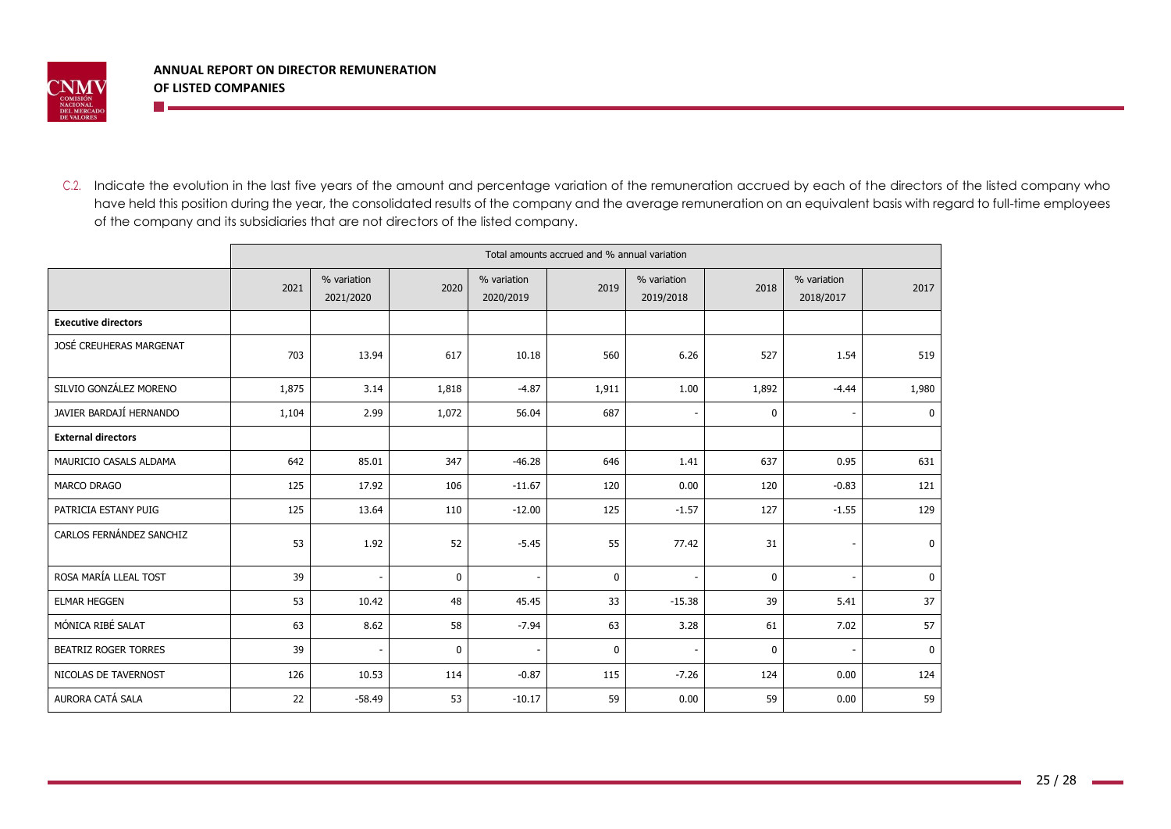

<u> 19 maande, maar wat de vo</u>

C.2. Indicate the evolution in the last five years of the amount and percentage variation of the remuneration accrued by each of the directors of the listed company who have held this position during the year, the consolidated results of the company and the average remuneration on an equivalent basis with regard to full-time employees of the company and its subsidiaries that are not directors of the listed company.

|                             |       |                          |             |                          | Total amounts accrued and % annual variation |                          |              |                          |              |
|-----------------------------|-------|--------------------------|-------------|--------------------------|----------------------------------------------|--------------------------|--------------|--------------------------|--------------|
|                             | 2021  | % variation<br>2021/2020 | 2020        | % variation<br>2020/2019 | 2019                                         | % variation<br>2019/2018 | 2018         | % variation<br>2018/2017 | 2017         |
| <b>Executive directors</b>  |       |                          |             |                          |                                              |                          |              |                          |              |
| JOSÉ CREUHERAS MARGENAT     | 703   | 13.94                    | 617         | 10.18                    | 560                                          | 6.26                     | 527          | 1.54                     | 519          |
| SILVIO GONZÁLEZ MORENO      | 1,875 | 3.14                     | 1,818       | $-4.87$                  | 1,911                                        | 1.00                     | 1,892        | $-4.44$                  | 1,980        |
| JAVIER BARDAJÍ HERNANDO     | 1,104 | 2.99                     | 1,072       | 56.04                    | 687                                          | $\overline{\phantom{a}}$ | $\mathbf{0}$ |                          | $\mathbf 0$  |
| <b>External directors</b>   |       |                          |             |                          |                                              |                          |              |                          |              |
| MAURICIO CASALS ALDAMA      | 642   | 85.01                    | 347         | $-46.28$                 | 646                                          | 1.41                     | 637          | 0.95                     | 631          |
| <b>MARCO DRAGO</b>          | 125   | 17.92                    | 106         | $-11.67$                 | 120                                          | 0.00                     | 120          | $-0.83$                  | 121          |
| PATRICIA ESTANY PUIG        | 125   | 13.64                    | 110         | $-12.00$                 | 125                                          | $-1.57$                  | 127          | $-1.55$                  | 129          |
| CARLOS FERNÁNDEZ SANCHIZ    | 53    | 1.92                     | 52          | $-5.45$                  | 55                                           | 77.42                    | 31           |                          | $\mathbf 0$  |
| ROSA MARÍA LLEAL TOST       | 39    |                          | $\mathbf 0$ |                          | $\mathbf{0}$                                 | $\sim$                   | $\mathbf 0$  |                          | $\mathbf 0$  |
| <b>ELMAR HEGGEN</b>         | 53    | 10.42                    | 48          | 45.45                    | 33                                           | $-15.38$                 | 39           | 5.41                     | 37           |
| MÓNICA RIBÉ SALAT           | 63    | 8.62                     | 58          | $-7.94$                  | 63                                           | 3.28                     | 61           | 7.02                     | 57           |
| <b>BEATRIZ ROGER TORRES</b> | 39    |                          | $\mathbf 0$ |                          | $\mathbf{0}$                                 | ٠                        | $\mathbf{0}$ |                          | $\mathbf{0}$ |
| NICOLAS DE TAVERNOST        | 126   | 10.53                    | 114         | $-0.87$                  | 115                                          | $-7.26$                  | 124          | 0.00                     | 124          |
| AURORA CATÁ SALA            | 22    | $-58.49$                 | 53          | $-10.17$                 | 59                                           | 0.00                     | 59           | 0.00                     | 59           |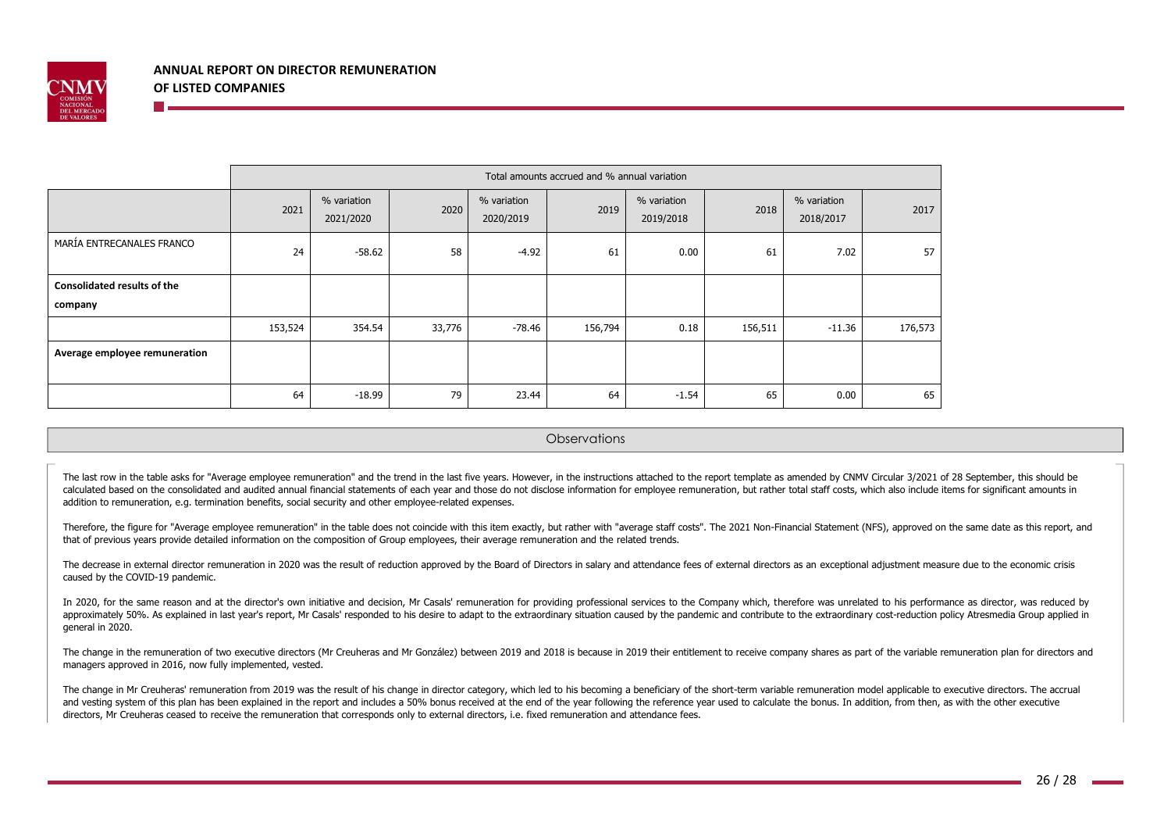

|                                               | Total amounts accrued and % annual variation |                          |        |                          |         |                          |         |                          |         |  |
|-----------------------------------------------|----------------------------------------------|--------------------------|--------|--------------------------|---------|--------------------------|---------|--------------------------|---------|--|
|                                               | 2021                                         | % variation<br>2021/2020 | 2020   | % variation<br>2020/2019 | 2019    | % variation<br>2019/2018 | 2018    | % variation<br>2018/2017 | 2017    |  |
| MARÍA ENTRECANALES FRANCO                     | 24                                           | $-58.62$                 | 58     | $-4.92$                  | 61      | 0.00                     | 61      | 7.02                     | 57      |  |
| <b>Consolidated results of the</b><br>company |                                              |                          |        |                          |         |                          |         |                          |         |  |
|                                               | 153,524                                      | 354.54                   | 33,776 | $-78.46$                 | 156,794 | 0.18                     | 156,511 | $-11.36$                 | 176,573 |  |
| Average employee remuneration                 |                                              |                          |        |                          |         |                          |         |                          |         |  |
|                                               | 64                                           | $-18.99$                 | 79     | 23.44                    | 64      | $-1.54$                  | 65      | 0.00                     | 65      |  |

**Observations** 

The last row in the table asks for "Average employee remuneration" and the trend in the last five years. However, in the instructions attached to the report template as amended by CNMV Circular 3/2021 of 28 September, this calculated based on the consolidated and audited annual financial statements of each year and those do not disclose information for employee remuneration, but rather total staff costs, which also include items for signific addition to remuneration, e.g. termination benefits, social security and other employee-related expenses.

Therefore, the figure for "Average employee remuneration" in the table does not coincide with this item exactly, but rather with "average staff costs". The 2021 Non-Financial Statement (NFS), approved on the same date as t that of previous years provide detailed information on the composition of Group employees, their average remuneration and the related trends.

The decrease in external director remuneration in 2020 was the result of reduction approved by the Board of Directors in salary and attendance fees of external directors as an exceptional adjustment measure due to the econ caused by the COVID-19 pandemic.

In 2020, for the same reason and at the director's own initiative and decision. Mr Casals' remuneration for providing professional services to the Company which, therefore was unrelated to his performance as director, was approximately 50%. As explained in last year's report, Mr Casals' responded to his desire to adapt to the extraordinary situation caused by the pandemic and contribute to the extraordinary cost-reduction policy Atresmedia general in 2020.

The change in the remuneration of two executive directors (Mr Creuheras and Mr González) between 2019 and 2018 is because in 2019 their entitlement to receive company shares as part of the variable remuneration plan for di managers approved in 2016, now fully implemented, vested.

The change in Mr Creuheras' remuneration from 2019 was the result of his change in director category, which led to his becoming a beneficiary of the short-term variable remuneration model applicable to executive directors. and vesting system of this plan has been explained in the report and includes a 50% bonus received at the end of the vear following the reference year used to calculate the bonus. In addition, from then, as with the other directors, Mr Creuheras ceased to receive the remuneration that corresponds only to external directors, i.e. fixed remuneration and attendance fees.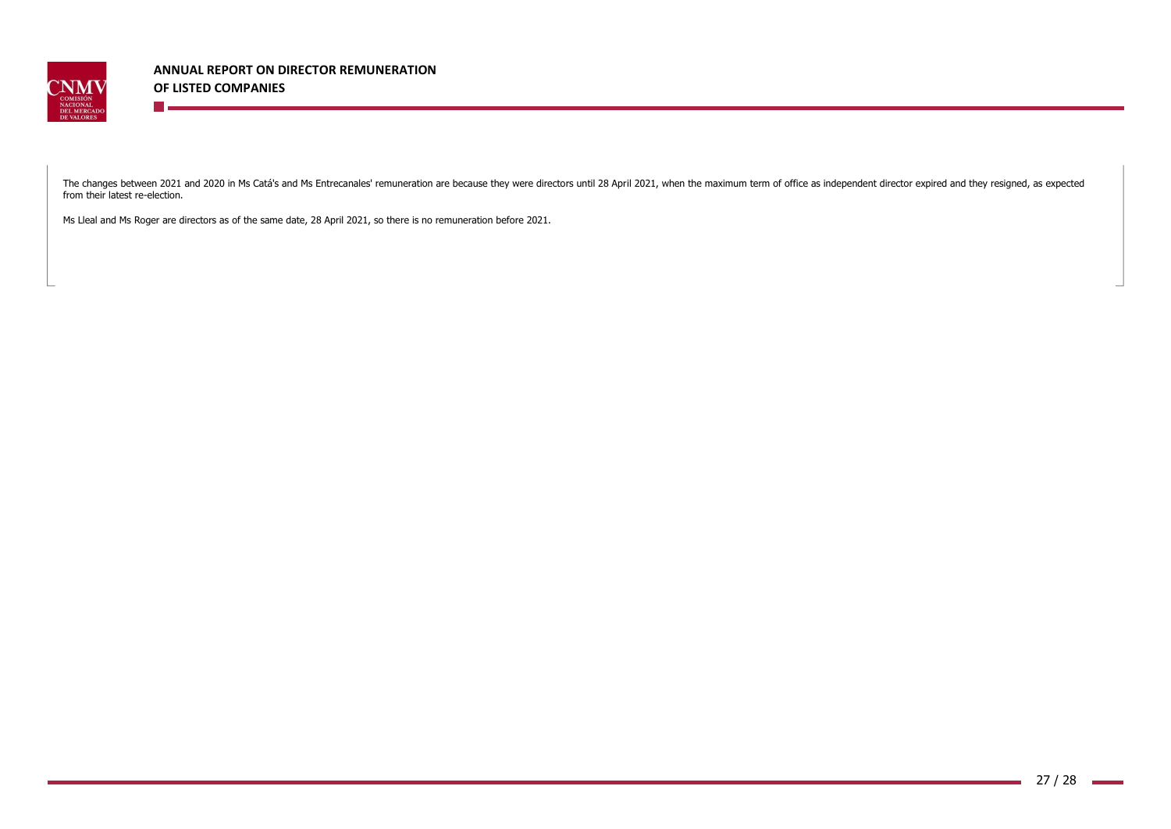

**The Co** 

**ANNUAL REPORT ON DIRECTOR REMUNERATION OF LISTED COMPANIES**

The changes between 2021 and 2020 in Ms Catá's and Ms Entrecanales' remuneration are because they were directors until 28 April 2021, when the maximum term of office as independent director expired and they resigned, as ex from their latest re-election.

Ms Lleal and Ms Roger are directors as of the same date, 28 April 2021, so there is no remuneration before 2021.